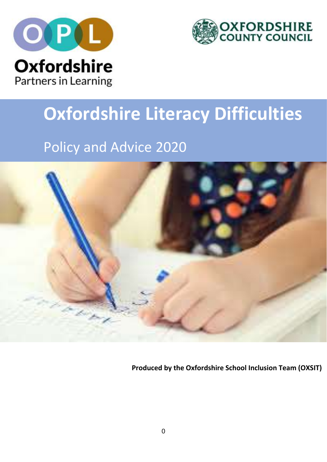



# **Oxfordshire Literacy Difficulties**

# Policy and Advice 2020



**Produced by the Oxfordshire School Inclusion Team (OXSIT)**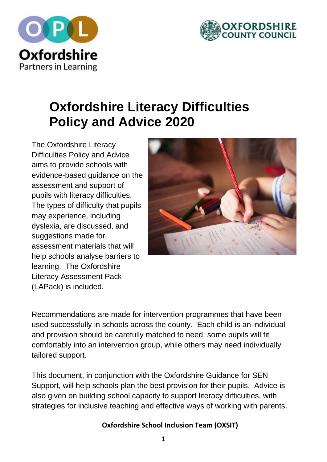



# **Oxfordshire Literacy Difficulties Policy and Advice 2020**

The Oxfordshire Literacy Difficulties Policy and Advice aims to provide schools with evidence-based guidance on the assessment and support of pupils with literacy difficulties. The types of difficulty that pupils may experience, including dyslexia, are discussed, and suggestions made for assessment materials that will help schools analyse barriers to learning. The Oxfordshire Literacy Assessment Pack (LAPack) is included.



Recommendations are made for intervention programmes that have been used successfully in schools across the county. Each child is an individual and provision should be carefully matched to need: some pupils will fit comfortably into an intervention group, while others may need individually tailored support.

This document, in conjunction with the Oxfordshire Guidance for SEN Support, will help schools plan the best provision for their pupils. Advice is also given on building school capacity to support literacy difficulties, with strategies for inclusive teaching and effective ways of working with parents.

### **Oxfordshire School Inclusion Team (OXSIT)**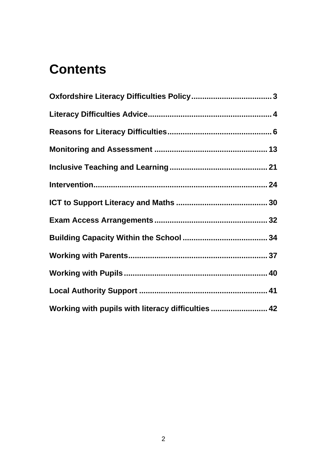# **Contents**

| Working with pupils with literacy difficulties  42 |  |
|----------------------------------------------------|--|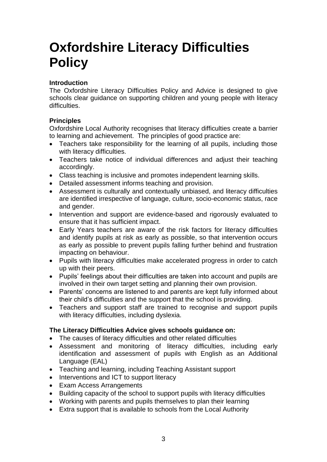# <span id="page-3-0"></span>**Oxfordshire Literacy Difficulties Policy**

### **Introduction**

The Oxfordshire Literacy Difficulties Policy and Advice is designed to give schools clear guidance on supporting children and young people with literacy difficulties.

### **Principles**

Oxfordshire Local Authority recognises that literacy difficulties create a barrier to learning and achievement. The principles of good practice are:

- Teachers take responsibility for the learning of all pupils, including those with literacy difficulties.
- Teachers take notice of individual differences and adjust their teaching accordingly.
- Class teaching is inclusive and promotes independent learning skills.
- Detailed assessment informs teaching and provision.
- Assessment is culturally and contextually unbiased, and literacy difficulties are identified irrespective of language, culture, socio-economic status, race and gender.
- Intervention and support are evidence-based and rigorously evaluated to ensure that it has sufficient impact.
- Early Years teachers are aware of the risk factors for literacy difficulties and identify pupils at risk as early as possible, so that intervention occurs as early as possible to prevent pupils falling further behind and frustration impacting on behaviour.
- Pupils with literacy difficulties make accelerated progress in order to catch up with their peers.
- Pupils' feelings about their difficulties are taken into account and pupils are involved in their own target setting and planning their own provision.
- Parents' concerns are listened to and parents are kept fully informed about their child's difficulties and the support that the school is providing.
- Teachers and support staff are trained to recognise and support pupils with literacy difficulties, including dyslexia.

### **The Literacy Difficulties Advice gives schools guidance on:**

- The causes of literacy difficulties and other related difficulties
- Assessment and monitoring of literacy difficulties, including early identification and assessment of pupils with English as an Additional Language (EAL)
- Teaching and learning, including Teaching Assistant support
- Interventions and ICT to support literacy
- Exam Access Arrangements
- Building capacity of the school to support pupils with literacy difficulties
- Working with parents and pupils themselves to plan their learning
- Extra support that is available to schools from the Local Authority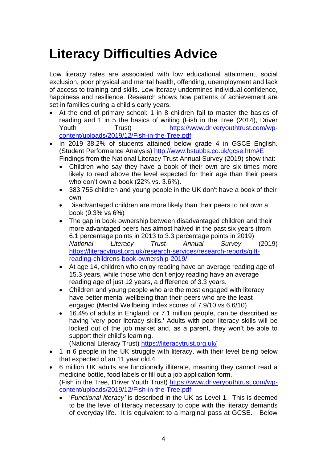# <span id="page-4-0"></span>**Literacy Difficulties Advice**

Low literacy rates are associated with low educational attainment, social exclusion, poor physical and mental health, offending, unemployment and lack of access to training and skills. Low literacy undermines individual confidence, happiness and resilience. Research shows how patterns of achievement are set in families during a child's early years.

- At the end of primary school: 1 in 8 children fail to master the basics of reading and 1 in 5 the basics of writing (Fish in the Tree (2014), Driver Youth Trust) [https://www.driveryouthtrust.com/wp](https://www.driveryouthtrust.com/wp-content/uploads/2019/12/Fish-in-the-Tree.pdf)[content/uploads/2019/12/Fish-in-the-Tree.pdf](https://www.driveryouthtrust.com/wp-content/uploads/2019/12/Fish-in-the-Tree.pdf)
- In 2019 38.2% of students attained below grade 4 in GSCE English. (Student Performance Analysis) <http://www.bstubbs.co.uk/gcse.htm#E> Findings from the National Literacy Trust Annual Survey (2019) show that:
	- Children who say they have a book of their own are six times more likely to read above the level expected for their age than their peers who don't own a book (22% vs. 3.6%).
	- 383,755 children and young people in the UK don't have a book of their own
	- Disadvantaged children are more likely than their peers to not own a book (9.3% vs 6%)
	- The gap in book ownership between disadvantaged children and their more advantaged peers has almost halved in the past six years (from 6.1 percentage points in 2013 to 3.3 percentage points in 2019) *National Literacy Trust Annual Survey* (2019) [https://literacytrust.org.uk/research-services/research-reports/gift](https://literacytrust.org.uk/research-services/research-reports/gift-reading-childrens-book-ownership-2019/)[reading-childrens-book-ownership-2019/](https://literacytrust.org.uk/research-services/research-reports/gift-reading-childrens-book-ownership-2019/)
	- At age 14, children who enjoy reading have an average reading age of 15.3 years, while those who don't enjoy reading have an average reading age of just 12 years, a difference of 3.3 years.
	- Children and young people who are the most engaged with literacy have better mental wellbeing than their peers who are the least engaged (Mental Wellbeing Index scores of 7.9/10 vs 6.6/10)
	- 16.4% of adults in England, or 7.1 million people, can be described as having 'very poor literacy skills.' Adults with poor literacy skills will be locked out of the job market and, as a parent, they won't be able to support their child's learning.

(National Literacy Trust) <https://literacytrust.org.uk/>

- 1 in 6 people in the UK struggle with literacy, with their level being below that expected of an 11 year old.4
- 6 million UK adults are functionally illiterate, meaning they cannot read a medicine bottle, food labels or fill out a job application form. (Fish in the Tree, Driver Youth Trust) [https://www.driveryouthtrust.com/wp](https://www.driveryouthtrust.com/wp-content/uploads/2019/12/Fish-in-the-Tree.pdf)[content/uploads/2019/12/Fish-in-the-Tree.pdf](https://www.driveryouthtrust.com/wp-content/uploads/2019/12/Fish-in-the-Tree.pdf)
	- '*Functional literacy'* is described in the UK as Level 1. This is deemed to be the level of literacy necessary to cope with the literacy demands of everyday life. It is equivalent to a marginal pass at GCSE. Below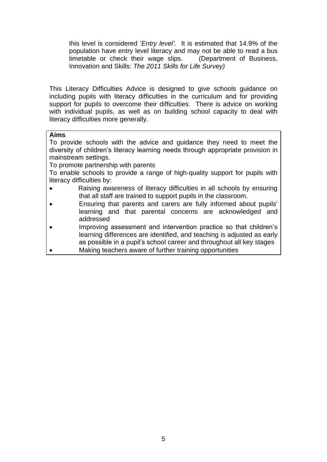this level is considered '*Entry level'.* It is estimated that 14.9% of the population have entry level literacy and may not be able to read a bus timetable or check their wage slips. (Department of Business, Innovation and Skills: *The 2011 Skills for Life Survey)*

This Literacy Difficulties Advice is designed to give schools guidance on including pupils with literacy difficulties in the curriculum and for providing support for pupils to overcome their difficulties. There is advice on working with individual pupils, as well as on building school capacity to deal with literacy difficulties more generally.

### **Aims**

To provide schools with the advice and guidance they need to meet the diversity of children's literacy learning needs through appropriate provision in mainstream settings.

To promote partnership with parents

To enable schools to provide a range of high-quality support for pupils with literacy difficulties by:

- Raising awareness of literacy difficulties in all schools by ensuring that all staff are trained to support pupils in the classroom.
- Ensuring that parents and carers are fully informed about pupils' learning and that parental concerns are acknowledged and addressed
- Improving assessment and intervention practice so that children's learning differences are identified, and teaching is adjusted as early as possible in a pupil's school career and throughout all key stages
- Making teachers aware of further training opportunities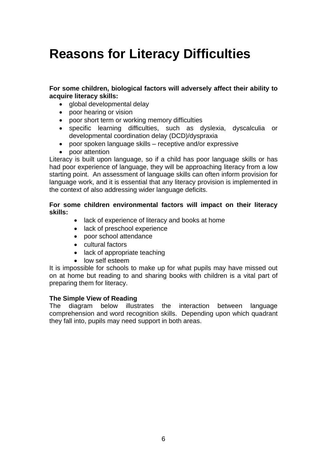# <span id="page-6-0"></span>**Reasons for Literacy Difficulties**

**For some children, biological factors will adversely affect their ability to acquire literacy skills:**

- global developmental delay
- poor hearing or vision
- poor short term or working memory difficulties
- specific learning difficulties, such as dyslexia, dyscalculia or developmental coordination delay (DCD)/dyspraxia
- poor spoken language skills receptive and/or expressive
- poor attention

Literacy is built upon language, so if a child has poor language skills or has had poor experience of language, they will be approaching literacy from a low starting point. An assessment of language skills can often inform provision for language work, and it is essential that any literacy provision is implemented in the context of also addressing wider language deficits.

### **For some children environmental factors will impact on their literacy skills:**

- lack of experience of literacy and books at home
- lack of preschool experience
- poor school attendance
- cultural factors
- lack of appropriate teaching
- low self esteem

It is impossible for schools to make up for what pupils may have missed out on at home but reading to and sharing books with children is a vital part of preparing them for literacy.

### **The Simple View of Reading**

The diagram below illustrates the interaction between language comprehension and word recognition skills. Depending upon which quadrant they fall into, pupils may need support in both areas.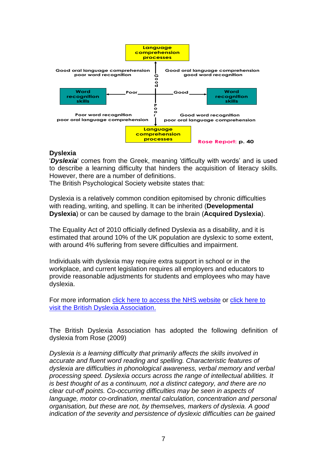

### **Dyslexia**

'*Dyslexia*' comes from the Greek, meaning 'difficulty with words' and is used to describe a learning difficulty that hinders the acquisition of literacy skills. However, there are a number of definitions.

The British Psychological Society website states that:

Dyslexia is a relatively common condition epitomised by chronic difficulties with reading, writing, and spelling. It can be inherited (**Developmental Dyslexia**) or can be caused by damage to the brain (**Acquired Dyslexia**).

The Equality Act of 2010 officially defined Dyslexia as a disability, and it is estimated that around 10% of the UK population are dyslexic to some extent, with around 4% suffering from severe difficulties and impairment.

Individuals with dyslexia may require extra support in school or in the workplace, and current legislation requires all employers and educators to provide reasonable adjustments for students and employees who may have dyslexia.

For more information [click here to access the NHS website](http://www.nhs.uk/Conditions/Dyslexia/Pages/Introduction.aspx) or click here to [visit the British Dyslexia Association.](http://www.bdadyslexia.org.uk/about)

The British Dyslexia Association has adopted the following definition of dyslexia from Rose (2009)

*Dyslexia is a learning difficulty that primarily affects the skills involved in accurate and fluent word reading and spelling. Characteristic features of dyslexia are difficulties in phonological awareness, verbal memory and verbal processing speed. Dyslexia occurs across the range of intellectual abilities. It is best thought of as a continuum, not a distinct category, and there are no clear cut-off points. Co-occurring difficulties may be seen in aspects of language, motor co-ordination, mental calculation, concentration and personal organisation, but these are not, by themselves, markers of dyslexia. A good indication of the severity and persistence of dyslexic difficulties can be gained*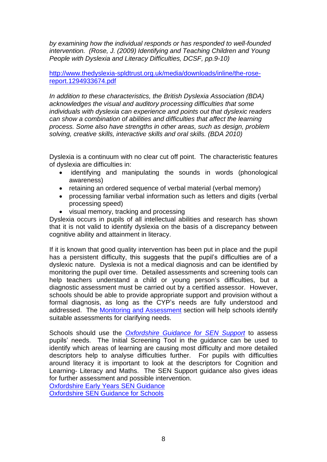*by examining how the individual responds or has responded to well-founded intervention. (Rose, J. (2009) Identifying and Teaching Children and Young People with Dyslexia and Literacy Difficulties, DCSF, pp.9-10)*

[http://www.thedyslexia-spldtrust.org.uk/media/downloads/inline/the-rose](http://www.thedyslexia-spldtrust.org.uk/media/downloads/inline/the-rose-report.1294933674.pdf)[report.1294933674.pdf](http://www.thedyslexia-spldtrust.org.uk/media/downloads/inline/the-rose-report.1294933674.pdf)

*In addition to these characteristics, the British Dyslexia Association (BDA) acknowledges the visual and auditory processing difficulties that some individuals with dyslexia can experience and points out that dyslexic readers can show a combination of abilities and difficulties that affect the learning process. Some also have strengths in other areas, such as design, problem solving, creative skills, interactive skills and oral skills. (BDA 2010)*

Dyslexia is a continuum with no clear cut off point. The characteristic features of dyslexia are difficulties in:

- identifying and manipulating the sounds in words (phonological awareness)
- retaining an ordered sequence of verbal material (verbal memory)
- processing familiar verbal information such as letters and digits (verbal processing speed)
- visual memory, tracking and processing

Dyslexia occurs in pupils of all intellectual abilities and research has shown that it is not valid to identify dyslexia on the basis of a discrepancy between cognitive ability and attainment in literacy.

If it is known that good quality intervention has been put in place and the pupil has a persistent difficulty, this suggests that the pupil's difficulties are of a dyslexic nature. Dyslexia is not a medical diagnosis and can be identified by monitoring the pupil over time. Detailed assessments and screening tools can help teachers understand a child or young person's difficulties, but a diagnostic assessment must be carried out by a certified assessor. However, schools should be able to provide appropriate support and provision without a formal diagnosis, as long as the CYP's needs are fully understood and addressed. The Monitoring and Assessment section will help schools identify suitable assessments for clarifying needs.

Schools should use the *[Oxfordshire Guidance for SEN](http://www.oxfordshire.gov.uk/sites/default/files/file/special-educational-needs/Schools_SEN_guidance.docx) Support* to assess pupils' needs. The Initial Screening Tool in the guidance can be used to identify which areas of learning are causing most difficulty and more detailed descriptors help to analyse difficulties further. For pupils with difficulties around literacy it is important to look at the descriptors for Cognition and Learning- Literacy and Maths. The SEN Support guidance also gives ideas for further assessment and possible intervention.

[Oxfordshire Early Years SEN Guidance](http://www.oxfordshire.gov.uk/sites/default/files/file/special-educational-needs/early_years_SEN_guidance.docx) [Oxfordshire SEN Guidance for Schools](http://www.oxfordshire.gov.uk/sites/default/files/file/special-educational-needs/Schools_SEN_guidance.docx)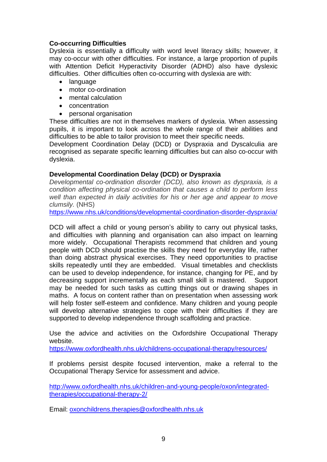### **Co-occurring Difficulties**

Dyslexia is essentially a difficulty with word level literacy skills; however, it may co-occur with other difficulties. For instance, a large proportion of pupils with Attention Deficit Hyperactivity Disorder (ADHD) also have dyslexic difficulties. Other difficulties often co-occurring with dyslexia are with:

- language
- motor co-ordination
- mental calculation
- concentration
- personal organisation

These difficulties are not in themselves markers of dyslexia. When assessing pupils, it is important to look across the whole range of their abilities and difficulties to be able to tailor provision to meet their specific needs.

Development Coordination Delay (DCD) or Dyspraxia and Dyscalculia are recognised as separate specific learning difficulties but can also co-occur with dyslexia.

### **Developmental Coordination Delay (DCD) or Dyspraxia**

*Developmental co-ordination disorder (DCD), also known as dyspraxia, is a condition affecting physical co-ordination that causes a child to perform less well than expected in daily activities for his or her age and appear to move clumsily.* (NHS)

<https://www.nhs.uk/conditions/developmental-coordination-disorder-dyspraxia/>

DCD will affect a child or young person's ability to carry out physical tasks, and difficulties with planning and organisation can also impact on learning more widely. Occupational Therapists recommend that children and young people with DCD should practise the skills they need for everyday life, rather than doing abstract physical exercises. They need opportunities to practise skills repeatedly until they are embedded. Visual timetables and checklists can be used to develop independence, for instance, changing for PE, and by decreasing support incrementally as each small skill is mastered. Support may be needed for such tasks as cutting things out or drawing shapes in maths. A focus on content rather than on presentation when assessing work will help foster self-esteem and confidence. Many children and young people will develop alternative strategies to cope with their difficulties if they are supported to develop independence through scaffolding and practice.

Use the advice and activities on the Oxfordshire Occupational Therapy website.

<https://www.oxfordhealth.nhs.uk/childrens-occupational-therapy/resources/>

If problems persist despite focused intervention, make a referral to the Occupational Therapy Service for assessment and advice.

[http://www.oxfordhealth.nhs.uk/children-and-young-people/oxon/integrated](http://www.oxfordhealth.nhs.uk/children-and-young-people/oxon/integrated-therapies/occupational-therapy-2/)[therapies/occupational-therapy-2/](http://www.oxfordhealth.nhs.uk/children-and-young-people/oxon/integrated-therapies/occupational-therapy-2/)

Email: [oxonchildrens.therapies@oxfordhealth.nhs.uk](mailto:oxonchildrens.therapies@oxfordhealth.nhs.uk)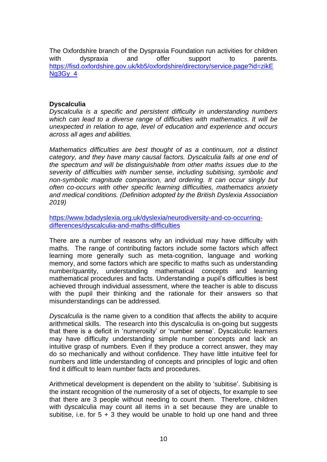The Oxfordshire branch of the Dyspraxia Foundation run activities for children with dyspraxia and offer support to parents. [https://fisd.oxfordshire.gov.uk/kb5/oxfordshire/directory/service.page?id=zikE](https://fisd.oxfordshire.gov.uk/kb5/oxfordshire/directory/service.page?id=zikENg3Gy_4) Ng<sub>3</sub>G<sub>v</sub> 4

### **Dyscalculia**

*Dyscalculia is a specific and persistent difficulty in understanding numbers which can lead to a diverse range of difficulties with mathematics. It will be unexpected in relation to age, level of education and experience and occurs across all ages and abilities.*

*Mathematics difficulties are best thought of as a continuum, not a distinct category, and they have many causal factors. Dyscalculia falls at one end of the spectrum and will be distinguishable from other maths issues due to the severity of difficulties with number sense, including subitising, symbolic and non-symbolic magnitude comparison, and ordering. It can occur singly but often co-occurs with other specific learning difficulties, mathematics anxiety and medical conditions. (Definition adopted by the British Dyslexia Association 2019)*

[https://www.bdadyslexia.org.uk/dyslexia/neurodiversity-and-co-occurring](https://www.bdadyslexia.org.uk/dyslexia/neurodiversity-and-co-occurring-differences/dyscalculia-and-maths-difficulties)[differences/dyscalculia-and-maths-difficulties](https://www.bdadyslexia.org.uk/dyslexia/neurodiversity-and-co-occurring-differences/dyscalculia-and-maths-difficulties)

There are a number of reasons why an individual may have difficulty with maths. The range of contributing factors include some factors which affect learning more generally such as meta-cognition, language and working memory, and some factors which are specific to maths such as understanding number/quantity, understanding mathematical concepts and learning mathematical procedures and facts. Understanding a pupil's difficulties is best achieved through individual assessment, where the teacher is able to discuss with the pupil their thinking and the rationale for their answers so that misunderstandings can be addressed.

*Dyscalculia* is the name given to a condition that affects the ability to acquire arithmetical skills. The research into this dyscalculia is on-going but suggests that there is a deficit in 'numerosity' or 'number sense'. Dyscalculic learners may have difficulty understanding simple number concepts and lack an intuitive grasp of numbers. Even if they produce a correct answer, they may do so mechanically and without confidence. They have little intuitive feel for numbers and little understanding of concepts and principles of logic and often find it difficult to learn number facts and procedures.

Arithmetical development is dependent on the ability to 'subitise'. Subitising is the instant recognition of the numerosity of a set of objects, for example to see that there are 3 people without needing to count them. Therefore, children with dyscalculia may count all items in a set because they are unable to subitise, i.e. for  $5 + 3$  they would be unable to hold up one hand and three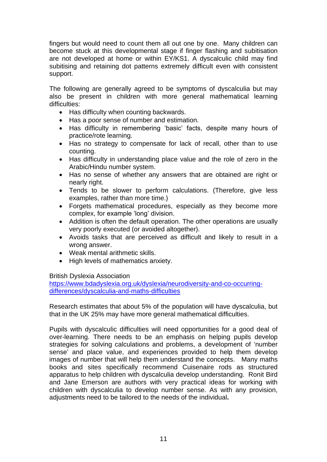fingers but would need to count them all out one by one. Many children can become stuck at this developmental stage if finger flashing and subitisation are not developed at home or within EY/KS1. A dyscalculic child may find subitising and retaining dot patterns extremely difficult even with consistent support.

The following are generally agreed to be symptoms of dyscalculia but may also be present in children with more general mathematical learning difficulties:

- Has difficulty when counting backwards.
- Has a poor sense of number and estimation.
- Has difficulty in remembering 'basic' facts, despite many hours of practice/rote learning.
- Has no strategy to compensate for lack of recall, other than to use counting.
- Has difficulty in understanding place value and the role of zero in the Arabic/Hindu number system.
- Has no sense of whether any answers that are obtained are right or nearly right.
- Tends to be slower to perform calculations. (Therefore, give less examples, rather than more time.)
- Forgets mathematical procedures, especially as they become more complex, for example 'long' division.
- Addition is often the default operation. The other operations are usually very poorly executed (or avoided altogether).
- Avoids tasks that are perceived as difficult and likely to result in a wrong answer.
- Weak mental arithmetic skills.
- High levels of mathematics anxiety.

### British Dyslexia Association

[https://www.bdadyslexia.org.uk/dyslexia/neurodiversity-and-co-occurring](https://www.bdadyslexia.org.uk/dyslexia/neurodiversity-and-co-occurring-differences/dyscalculia-and-maths-difficulties)[differences/dyscalculia-and-maths-difficulties](https://www.bdadyslexia.org.uk/dyslexia/neurodiversity-and-co-occurring-differences/dyscalculia-and-maths-difficulties)

Research estimates that about 5% of the population will have dyscalculia, but that in the UK 25% may have more general mathematical difficulties.

Pupils with dyscalculic difficulties will need opportunities for a good deal of over-learning. There needs to be an emphasis on helping pupils develop strategies for solving calculations and problems, a development of 'number sense' and place value, and experiences provided to help them develop images of number that will help them understand the concepts. Many maths books and sites specifically recommend Cuisenaire rods as structured apparatus to help children with dyscalculia develop understanding. Ronit Bird and Jane Emerson are authors with very practical ideas for working with children with dyscalculia to develop number sense. As with any provision, adjustments need to be tailored to the needs of the individual**.**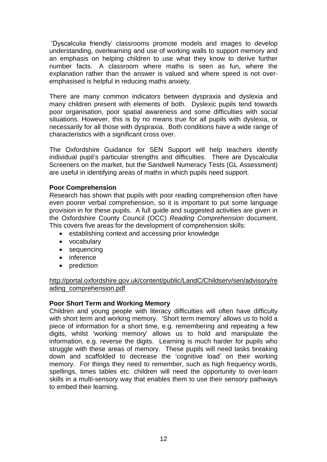'Dyscalculia friendly' classrooms promote models and images to develop understanding, overlearning and use of working walls to support memory and an emphasis on helping children to use what they know to derive further number facts. A classroom where maths is seen as fun, where the explanation rather than the answer is valued and where speed is not overemphasised is helpful in reducing maths anxiety.

There are many common indicators between dyspraxia and dyslexia and many children present with elements of both. Dyslexic pupils tend towards poor organisation, poor spatial awareness and some difficulties with social situations. However, this is by no means true for all pupils with dyslexia, or necessarily for all those with dyspraxia. Both conditions have a wide range of characteristics with a significant cross over.

The Oxfordshire Guidance for SEN Support will help teachers identify individual pupil's particular strengths and difficulties. There are Dyscalculia Screeners on the market, but the Sandwell Numeracy Tests (GL Assessment) are useful in identifying areas of maths in which pupils need support.

### **Poor Comprehension**

Research has shown that pupils with poor reading comprehension often have even poorer verbal comprehension, so it is important to put some language provision in for these pupils. A full guide and suggested activities are given in the Oxfordshire County Council (OCC) *Reading Comprehension* document. This covers five areas for the development of comprehension skills:

- establishing context and accessing prior knowledge
- vocabulary
- sequencing
- inference
- prediction

### [http://portal.oxfordshire.gov.uk/content/public/LandC/Childserv/sen/advisory/re](http://portal.oxfordshire.gov.uk/content/public/LandC/Childserv/sen/advisory/reading_comprehension.pdf) [ading\\_comprehension.pdf](http://portal.oxfordshire.gov.uk/content/public/LandC/Childserv/sen/advisory/reading_comprehension.pdf)

### **Poor Short Term and Working Memory**

Children and young people with literacy difficulties will often have difficulty with short term and working memory. 'Short term memory' allows us to hold a piece of information for a short time, e.g. remembering and repeating a few digits, whilst 'working memory' allows us to hold and manipulate the information, e.g. reverse the digits. Learning is much harder for pupils who struggle with these areas of memory. These pupils will need tasks breaking down and scaffolded to decrease the 'cognitive load' on their working memory. For things they need to remember, such as high frequency words, spellings, times tables etc. children will need the opportunity to over-learn skills in a multi-sensory way that enables them to use their sensory pathways to embed their learning.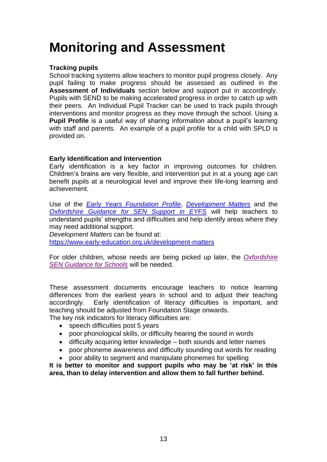# <span id="page-13-0"></span>**Monitoring and Assessment**

### **Tracking pupils**

School tracking systems allow teachers to monitor pupil progress closely. Any pupil failing to make progress should be assessed as outlined in the **Assessment of Individuals** section below and support put in accordingly. Pupils with SEND to be making accelerated progress in order to catch up with their peers. An Individual Pupil Tracker can be used to track pupils through interventions and monitor progress as they move through the school. Using a **Pupil Profile** is a useful way of sharing information about a pupil's learning with staff and parents. An example of a pupil profile for a child with SPLD is provided on.

### **Early Identification and Intervention**

Early identification is a key factor in improving outcomes for children. Children's brains are very flexible, and intervention put in at a young age can benefit pupils at a neurological level and improve their life-long learning and achievement.

Use of the *Early [Years Foundation Profile](https://www.gov.uk/government/publications/early-years-foundation-stage-profile-handbook)*, *[Development Matters](https://www.foundationyears.org.uk/files/2012/03/Development-Matters-FINAL-PRINT-AMENDED.pdf)* and the *[Oxfordshire Guidance for SEN Support](http://www.oxfordshire.gov.uk/sites/default/files/file/special-educational-needs/early_years_SEN_guidance.docx) in EYFS* will help teachers to understand pupils' strengths and difficulties and help identify areas where they may need additional support.

*Development Matters* can be found at:

<https://www.early-education.org.uk/development-matters>

For older children, whose needs are being picked up later, the *[Oxfordshire](http://www.oxfordshire.gov.uk/sites/default/files/file/special-educational-needs/Schools_SEN_guidance.docx)  [SEN Guidance for Schools](http://www.oxfordshire.gov.uk/sites/default/files/file/special-educational-needs/Schools_SEN_guidance.docx)* will be needed.

These assessment documents encourage teachers to notice learning differences from the earliest years in school and to adjust their teaching accordingly. Early identification of literacy difficulties is important, and teaching should be adjusted from Foundation Stage onwards.

The key risk indicators for literacy difficulties are:

- speech difficulties post 5 years
- poor phonological skills, or difficulty hearing the sound in words
- difficulty acquiring letter knowledge both sounds and letter names
- poor phoneme awareness and difficulty sounding out words for reading
- poor ability to segment and manipulate phonemes for spelling

**It is better to monitor and support pupils who may be 'at risk' in this area, than to delay intervention and allow them to fall further behind.**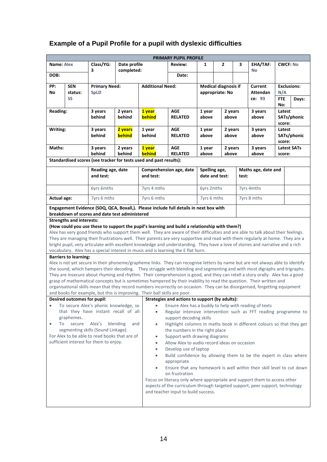### **Example of a Pupil Profile for a pupil with dyslexic difficulties**

|                                                                                                                                                                                                                                                                                                                                                                                                                                                                                                                                                                                                                                                                                                                                                                                                                                                                                                                                                                                                                                                                                                                                                                                                                                                                                                                                                                                                                                                                                                                                                                                                                                                                                                                                                                                                                                                                                                                                                     |                       |                                                                    |                   |                                                                                                                                                                                                                                                                                                                                                                                                                                                                                                 | <b>PRIMARY PUPIL PROFILE</b>                                                          |                                 |                                                |                                      |                              |                                        |                                 |  |
|-----------------------------------------------------------------------------------------------------------------------------------------------------------------------------------------------------------------------------------------------------------------------------------------------------------------------------------------------------------------------------------------------------------------------------------------------------------------------------------------------------------------------------------------------------------------------------------------------------------------------------------------------------------------------------------------------------------------------------------------------------------------------------------------------------------------------------------------------------------------------------------------------------------------------------------------------------------------------------------------------------------------------------------------------------------------------------------------------------------------------------------------------------------------------------------------------------------------------------------------------------------------------------------------------------------------------------------------------------------------------------------------------------------------------------------------------------------------------------------------------------------------------------------------------------------------------------------------------------------------------------------------------------------------------------------------------------------------------------------------------------------------------------------------------------------------------------------------------------------------------------------------------------------------------------------------------------|-----------------------|--------------------------------------------------------------------|-------------------|-------------------------------------------------------------------------------------------------------------------------------------------------------------------------------------------------------------------------------------------------------------------------------------------------------------------------------------------------------------------------------------------------------------------------------------------------------------------------------------------------|---------------------------------------------------------------------------------------|---------------------------------|------------------------------------------------|--------------------------------------|------------------------------|----------------------------------------|---------------------------------|--|
| Name: Alex                                                                                                                                                                                                                                                                                                                                                                                                                                                                                                                                                                                                                                                                                                                                                                                                                                                                                                                                                                                                                                                                                                                                                                                                                                                                                                                                                                                                                                                                                                                                                                                                                                                                                                                                                                                                                                                                                                                                          |                       | Class/YG:                                                          | Date profile      |                                                                                                                                                                                                                                                                                                                                                                                                                                                                                                 | <b>Review:</b>                                                                        |                                 | 1<br>$\mathbf{2}$                              |                                      | EHA/TAF:                     | <b>CWCF: No</b>                        |                                 |  |
| DOB:                                                                                                                                                                                                                                                                                                                                                                                                                                                                                                                                                                                                                                                                                                                                                                                                                                                                                                                                                                                                                                                                                                                                                                                                                                                                                                                                                                                                                                                                                                                                                                                                                                                                                                                                                                                                                                                                                                                                                |                       | 3                                                                  | completed:        |                                                                                                                                                                                                                                                                                                                                                                                                                                                                                                 | Date:                                                                                 |                                 |                                                |                                      | No                           |                                        |                                 |  |
| PP:<br>No                                                                                                                                                                                                                                                                                                                                                                                                                                                                                                                                                                                                                                                                                                                                                                                                                                                                                                                                                                                                                                                                                                                                                                                                                                                                                                                                                                                                                                                                                                                                                                                                                                                                                                                                                                                                                                                                                                                                           | <b>SEN</b><br>status: | <b>Primary Need:</b><br><b>SpLD</b>                                |                   | <b>Additional Need:</b>                                                                                                                                                                                                                                                                                                                                                                                                                                                                         |                                                                                       |                                 | <b>Medical diagnosis if</b><br>appropriate: No |                                      | Current<br><b>Attendan</b>   | N/A                                    | <b>Exclusions:</b>              |  |
|                                                                                                                                                                                                                                                                                                                                                                                                                                                                                                                                                                                                                                                                                                                                                                                                                                                                                                                                                                                                                                                                                                                                                                                                                                                                                                                                                                                                                                                                                                                                                                                                                                                                                                                                                                                                                                                                                                                                                     | SS                    |                                                                    |                   |                                                                                                                                                                                                                                                                                                                                                                                                                                                                                                 |                                                                                       |                                 |                                                |                                      | ce: 93                       |                                        | <b>FTE</b><br>Days:             |  |
| <b>Reading:</b>                                                                                                                                                                                                                                                                                                                                                                                                                                                                                                                                                                                                                                                                                                                                                                                                                                                                                                                                                                                                                                                                                                                                                                                                                                                                                                                                                                                                                                                                                                                                                                                                                                                                                                                                                                                                                                                                                                                                     |                       | 3 years<br>behind                                                  | 2 years<br>behind | <b>AGE</b><br>1 year<br>1 year<br>behind<br><b>RELATED</b><br>above                                                                                                                                                                                                                                                                                                                                                                                                                             |                                                                                       | above                           | 2 years                                        | 3 years<br>above                     |                              | No:<br>Latest<br>SATs/phonic<br>score: |                                 |  |
| Writing:                                                                                                                                                                                                                                                                                                                                                                                                                                                                                                                                                                                                                                                                                                                                                                                                                                                                                                                                                                                                                                                                                                                                                                                                                                                                                                                                                                                                                                                                                                                                                                                                                                                                                                                                                                                                                                                                                                                                            |                       | 3 years<br>behind                                                  | 2 years<br>behind | 1 year<br>behind                                                                                                                                                                                                                                                                                                                                                                                                                                                                                | <b>AGE</b><br><b>RELATED</b>                                                          | 1 year<br>above                 |                                                | 2 years<br>3 years<br>above<br>above |                              |                                        | Latest<br>SATs/phonic<br>score: |  |
| Maths:                                                                                                                                                                                                                                                                                                                                                                                                                                                                                                                                                                                                                                                                                                                                                                                                                                                                                                                                                                                                                                                                                                                                                                                                                                                                                                                                                                                                                                                                                                                                                                                                                                                                                                                                                                                                                                                                                                                                              |                       | 3 years<br>behind                                                  | 2 years<br>behind | 1 year<br>behind                                                                                                                                                                                                                                                                                                                                                                                                                                                                                | AGE<br><b>RELATED</b>                                                                 | 1 year<br>above                 | above                                          | 2 years                              | 3 years<br>above             |                                        | Latest SATs<br>score:           |  |
|                                                                                                                                                                                                                                                                                                                                                                                                                                                                                                                                                                                                                                                                                                                                                                                                                                                                                                                                                                                                                                                                                                                                                                                                                                                                                                                                                                                                                                                                                                                                                                                                                                                                                                                                                                                                                                                                                                                                                     |                       | Standardised scores (see tracker for tests used and past results): |                   |                                                                                                                                                                                                                                                                                                                                                                                                                                                                                                 |                                                                                       |                                 |                                                |                                      |                              |                                        |                                 |  |
|                                                                                                                                                                                                                                                                                                                                                                                                                                                                                                                                                                                                                                                                                                                                                                                                                                                                                                                                                                                                                                                                                                                                                                                                                                                                                                                                                                                                                                                                                                                                                                                                                                                                                                                                                                                                                                                                                                                                                     |                       | Reading age, date<br>and test:                                     |                   | and test:                                                                                                                                                                                                                                                                                                                                                                                                                                                                                       | Comprehension age, date                                                               | Spelling age,<br>date and test: |                                                |                                      | Maths age, date and<br>test: |                                        |                                 |  |
|                                                                                                                                                                                                                                                                                                                                                                                                                                                                                                                                                                                                                                                                                                                                                                                                                                                                                                                                                                                                                                                                                                                                                                                                                                                                                                                                                                                                                                                                                                                                                                                                                                                                                                                                                                                                                                                                                                                                                     |                       | <b>6yrs 6mths</b>                                                  |                   | 7yrs 4 mths                                                                                                                                                                                                                                                                                                                                                                                                                                                                                     |                                                                                       | 6yrs 2mths                      |                                                |                                      | 7yrs 4mths                   |                                        |                                 |  |
| <b>Actual age:</b>                                                                                                                                                                                                                                                                                                                                                                                                                                                                                                                                                                                                                                                                                                                                                                                                                                                                                                                                                                                                                                                                                                                                                                                                                                                                                                                                                                                                                                                                                                                                                                                                                                                                                                                                                                                                                                                                                                                                  |                       | 7yrs 6 mths                                                        |                   | 7yrs 6 mths                                                                                                                                                                                                                                                                                                                                                                                                                                                                                     |                                                                                       | 7yrs 6 mths                     |                                                |                                      | 7yrs 8 mths                  |                                        |                                 |  |
|                                                                                                                                                                                                                                                                                                                                                                                                                                                                                                                                                                                                                                                                                                                                                                                                                                                                                                                                                                                                                                                                                                                                                                                                                                                                                                                                                                                                                                                                                                                                                                                                                                                                                                                                                                                                                                                                                                                                                     |                       | breakdown of scores and date test administered                     |                   |                                                                                                                                                                                                                                                                                                                                                                                                                                                                                                 | Engagement Evidence (SDQ, QCA, Boxall,). Please include full details in next box with |                                 |                                                |                                      |                              |                                        |                                 |  |
| Alex has very good friends who support them well. They are aware of their difficulties and are able to talk about their feelings.<br>They are managing their frustrations well. Their parents are very supportive and read with them regularly at home. They are a<br>bright pupil, very articulate with excellent knowledge and understanding. They have a love of stories and narrative and a rich<br>vocabulary. Alex has a special interest in music and is learning the E flat horn.<br><b>Barriers to learning:</b><br>Alex is not yet secure in their phoneme/grapheme links. They can recognise letters by name but are not always able to identify<br>the sound, which hampers their decoding. They struggle with blending and segmenting and with most digraphs and trigraphs.<br>They are insecure about rhyming and rhythm. Their comprehension is good, and they can retell a story orally. Alex has a good<br>grasp of mathematical concepts but is sometimes hampered by their inability to read the question. Their written and<br>organisational skills mean that they record numbers incorrectly on occasion. They can be disorganised, forgetting equipment<br>and books for example, but this is improving. Their ball skills are poor.<br>Strategies and actions to support (by adults):<br>Desired outcomes for pupil:<br>To secure Alex's phonic knowledge, so<br>Ensure Alex has a buddy to help with reading of texts<br>$\bullet$<br>$\bullet$<br>that they have instant recall of all<br>Regular intensive intervention such as FFT reading programme to<br>graphemes.<br>support decoding skills<br>secure<br>Alex's<br>blending<br>Highlight columns in maths book in different colours so that they get<br>To<br>and<br>$\bullet$<br>$\bullet$<br>segmenting skills (Sound Linkage).<br>the numbers in the right place<br>For Alex to be able to read books that are of<br>Support with drawing diagrams<br>$\bullet$ |                       |                                                                    |                   |                                                                                                                                                                                                                                                                                                                                                                                                                                                                                                 |                                                                                       |                                 |                                                |                                      |                              |                                        |                                 |  |
| sufficient interest for them to enjoy.                                                                                                                                                                                                                                                                                                                                                                                                                                                                                                                                                                                                                                                                                                                                                                                                                                                                                                                                                                                                                                                                                                                                                                                                                                                                                                                                                                                                                                                                                                                                                                                                                                                                                                                                                                                                                                                                                                              |                       |                                                                    |                   | Allow Alex to audio record ideas on occasion<br>$\bullet$<br>Develop use of laptop<br>$\bullet$<br>Build confidence by allowing them to be the expert in class where<br>$\bullet$<br>appropriate<br>Ensure that any homework is well within their skill level to cut down<br>on frustration<br>Focus on literacy only where appropriate and support them to access other<br>aspects of the curriculum through targeted support, peer support, technology<br>and teacher input to build success. |                                                                                       |                                 |                                                |                                      |                              |                                        |                                 |  |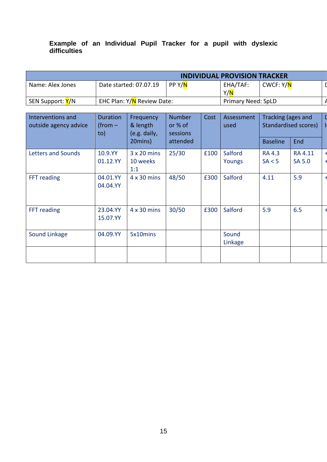### **Example of an Individual Pupil Tracker for a pupil with dyslexic difficulties**

|                                | <b>INDIVIDUAL PROVISION TRACKER</b> |                      |                               |                         |  |  |  |  |
|--------------------------------|-------------------------------------|----------------------|-------------------------------|-------------------------|--|--|--|--|
| Name: Alex Jones               | Date started: 07.07.19              | PP Y/ <mark>N</mark> | EHA/TAF:<br>Y/ <mark>N</mark> | CWCF: Y/ <mark>N</mark> |  |  |  |  |
| SEN Support: <mark>Y</mark> /N | EHC Plan: Y/N Review Date:          |                      | <b>Primary Need: SpLD</b>     |                         |  |  |  |  |

| Interventions and<br>outside agency advice | <b>Duration</b><br>(from $-$<br>to) | Frequency<br>& length<br>(e.g. daily, | <b>Number</b><br>or % of<br>sessions | Cost | Assessment<br>used | Tracking (ages and<br>Standardised scores) |                                 |  |
|--------------------------------------------|-------------------------------------|---------------------------------------|--------------------------------------|------|--------------------|--------------------------------------------|---------------------------------|--|
|                                            |                                     | 20mins)                               | attended                             |      |                    | <b>Baseline</b>                            | <b>End</b>                      |  |
| <b>Letters and Sounds</b>                  | 10.9.YY<br>01.12.YY                 | $3 \times 20$ mins<br>10 weeks<br>1:1 | 25/30                                | £100 | Salford<br>Youngs  | <b>RA 4.3</b><br>SA < 5                    | <b>RA 4.11</b><br><b>SA 5.0</b> |  |
| FFT reading                                | 04.01.YY<br>04.04.YY                | $4 \times 30$ mins                    | 48/50                                | £300 | Salford            | 4.11                                       | 5.9                             |  |
| FFT reading                                | 23.04.YY<br>15.07.YY                | $4 \times 30$ mins                    | 30/50                                | £300 | Salford            | 5.9                                        | 6.5                             |  |
| Sound Linkage                              | 04.09.YY                            | 5x10mins                              |                                      |      | Sound<br>Linkage   |                                            |                                 |  |
|                                            |                                     |                                       |                                      |      |                    |                                            |                                 |  |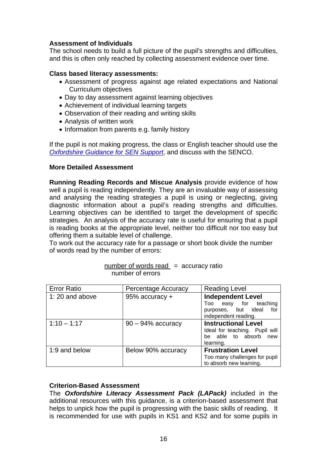### **Assessment of Individuals**

The school needs to build a full picture of the pupil's strengths and difficulties, and this is often only reached by collecting assessment evidence over time.

### **Class based literacy assessments:**

- Assessment of progress against age related expectations and National Curriculum objectives
- Day to day assessment against learning objectives
- Achievement of individual learning targets
- Observation of their reading and writing skills
- Analysis of written work
- Information from parents e.g. family history

If the pupil is not making progress, the class or English teacher should use the *[Oxfordshire Guidance for SEN Support](http://www.oxfordshire.gov.uk/sites/default/files/file/special-educational-needs/Schools_SEN_guidance.docx)*, and discuss with the SENCO.

### **More Detailed Assessment**

**Running Reading Records and Miscue Analysis** provide evidence of how well a pupil is reading independently. They are an invaluable way of assessing and analysing the reading strategies a pupil is using or neglecting, giving diagnostic information about a pupil's reading strengths and difficulties. Learning objectives can be identified to target the development of specific strategies. An analysis of the accuracy rate is useful for ensuring that a pupil is reading books at the appropriate level, neither too difficult nor too easy but offering them a suitable level of challenge.

To work out the accuracy rate for a passage or short book divide the number of words read by the number of errors:

| <b>Error Ratio</b> | Percentage Accuracy  | <b>Reading Level</b>           |
|--------------------|----------------------|--------------------------------|
| 1:20 and above     | 95% accuracy +       | <b>Independent Level</b>       |
|                    |                      | easy for teaching<br>Too       |
|                    |                      | purposes, but ideal<br>for     |
|                    |                      | independent reading.           |
| $1:10 - 1:17$      | $90 - 94\%$ accuracy | <b>Instructional Level</b>     |
|                    |                      | Ideal for teaching. Pupil will |
|                    |                      | able to absorb<br>new<br>be.   |
|                    |                      | learning.                      |
| 1:9 and below      | Below 90% accuracy   | <b>Frustration Level</b>       |
|                    |                      | Too many challenges for pupil  |
|                    |                      | to absorb new learning.        |

| $number of words read = accuracy ratio$ |  |  |
|-----------------------------------------|--|--|
| number of errors                        |  |  |

### **Criterion-Based Assessment**

The *Oxfordshire Literacy Assessment Pack (LAPack)* included in the additional resources with this guidance, is a criterion-based assessment that helps to unpick how the pupil is progressing with the basic skills of reading. It is recommended for use with pupils in KS1 and KS2 and for some pupils in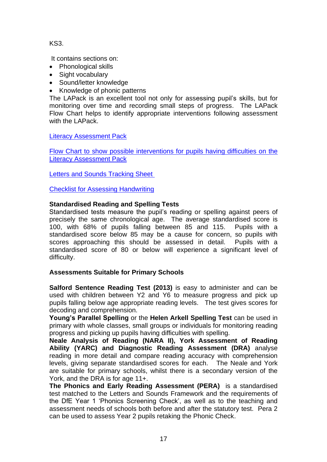KS3.

It contains sections on:

- Phonological skills
- Sight vocabulary
- Sound/letter knowledge
- Knowledge of phonic patterns

The LAPack is an excellent tool not only for assessing pupil's skills, but for monitoring over time and recording small steps of progress. The LAPack Flow Chart helps to identify appropriate interventions following assessment with the LAPack.

[Literacy Assessment Pack](https://drive.google.com/file/d/100-ltAFNf4cWnLoCArTkuu-bQ0qddrw9/view?usp=sharing)

[Flow Chart to show possible interventions for pupils having difficulties on the](https://drive.google.com/file/d/1t8ZHY47DhzQeLO53yGp8giQlQfNSJXky/view?usp=sharing)  [Literacy Assessment Pack](https://drive.google.com/file/d/1t8ZHY47DhzQeLO53yGp8giQlQfNSJXky/view?usp=sharing)

[Letters and Sounds Tracking Sheet](https://drive.google.com/file/d/147dwAHPYApG8YyFaisLpxRNwchWjyvbF/view?usp=sharing)

[Checklist for Assessing Handwriting](https://drive.google.com/file/d/1RNuJa-DJZy_CQR-WngsKjmNBNn4Z-Evf/view?usp=sharing)

### **Standardised Reading and Spelling Tests**

Standardised tests measure the pupil's reading or spelling against peers of precisely the same chronological age. The average standardised score is 100, with 68% of pupils falling between 85 and 115. Pupils with a standardised score below 85 may be a cause for concern, so pupils with scores approaching this should be assessed in detail. Pupils with a standardised score of 80 or below will experience a significant level of difficulty.

### **Assessments Suitable for Primary Schools**

**Salford Sentence Reading Test (2013)** is easy to administer and can be used with children between Y2 and Y6 to measure progress and pick up pupils falling below age appropriate reading levels. The test gives scores for decoding and comprehension.

**Young's Parallel Spelling** or the **Helen Arkell Spelling Test** can be used in primary with whole classes, small groups or individuals for monitoring reading progress and picking up pupils having difficulties with spelling.

**Neale Analysis of Reading (NARA II), York Assessment of Reading Ability (YARC) and Diagnostic Reading Assessment (DRA)** analyse reading in more detail and compare reading accuracy with comprehension levels, giving separate standardised scores for each. The Neale and York are suitable for primary schools, whilst there is a secondary version of the York, and the DRA is for age 11+.

**The Phonics and Early Reading Assessment (PERA)** is a standardised test matched to the Letters and Sounds Framework and the requirements of the DfE Year 1 'Phonics Screening Check', as well as to the teaching and assessment needs of schools both before and after the statutory test. Pera 2 can be used to assess Year 2 pupils retaking the Phonic Check.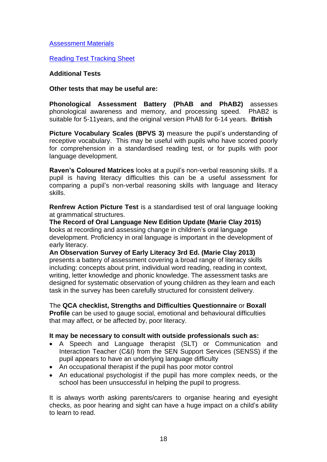### [Assessment Materials](https://drive.google.com/file/d/1HyozC03KYfDw9INMO2obF9417GAhEF5l/view?usp=sharing)

Reading Test [Tracking Sheet](https://drive.google.com/file/d/1sK5ezBDo2iXwVkBRm-ZSucWnZZVMlNWJ/view?usp=sharing)

### **Additional Tests**

### **Other tests that may be useful are:**

**Phonological Assessment Battery (PhAB and PhAB2)** assesses phonological awareness and memory, and processing speed. PhAB2 is suitable for 5-11years, and the original version PhAB for 6-14 years. **British** 

**Picture Vocabulary Scales (BPVS 3)** measure the pupil's understanding of receptive vocabulary. This may be useful with pupils who have scored poorly for comprehension in a standardised reading test, or for pupils with poor language development.

**Raven's Coloured Matrices** looks at a pupil's non-verbal reasoning skills. If a pupil is having literacy difficulties this can be a useful assessment for comparing a pupil's non-verbal reasoning skills with language and literacy skills.

**Renfrew Action Picture Test** is a standardised test of oral language looking at grammatical structures.

**The Record of Oral Language New Edition Update (Marie Clay 2015) l**ooks at recording and assessing change in children's oral language development. Proficiency in oral language is important in the development of early literacy.

**An Observation Survey of Early Literacy 3rd Ed. (Marie Clay 2013)** presents a battery of assessment covering a broad range of literacy skills including: concepts about print, individual word reading, reading in context, writing, letter knowledge and phonic knowledge. The assessment tasks are designed for systematic observation of young children as they learn and each task in the survey has been carefully structured for consistent delivery.

The **QCA checklist, Strengths and Difficulties Questionnaire** or **Boxall Profile** can be used to gauge social, emotional and behavioural difficulties that may affect, or be affected by, poor literacy.

### **It may be necessary to consult with outside professionals such as:**

- A Speech and Language therapist (SLT) or Communication and Interaction Teacher (C&I) from the SEN Support Services (SENSS) if the pupil appears to have an underlying language difficulty
- An occupational therapist if the pupil has poor motor control
- An educational psychologist if the pupil has more complex needs, or the school has been unsuccessful in helping the pupil to progress.

It is always worth asking parents/carers to organise hearing and eyesight checks, as poor hearing and sight can have a huge impact on a child's ability to learn to read.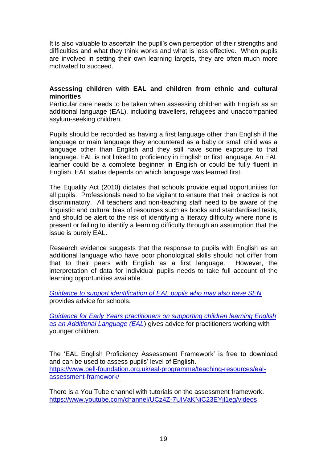It is also valuable to ascertain the pupil's own perception of their strengths and difficulties and what they think works and what is less effective. When pupils are involved in setting their own learning targets, they are often much more motivated to succeed.

### **Assessing children with EAL and children from ethnic and cultural minorities**

Particular care needs to be taken when assessing children with English as an additional language (EAL), including travellers, refugees and unaccompanied asylum-seeking children.

Pupils should be recorded as having a first language other than English if the language or main language they encountered as a baby or small child was a language other than English and they still have some exposure to that language. EAL is not linked to proficiency in English or first language. An EAL learner could be a complete beginner in English or could be fully fluent in English. EAL status depends on which language was learned first

The Equality Act (2010) dictates that schools provide equal opportunities for all pupils. Professionals need to be vigilant to ensure that their practice is not discriminatory. All teachers and non-teaching staff need to be aware of the linguistic and cultural bias of resources such as books and standardised tests, and should be alert to the risk of identifying a literacy difficulty where none is present or failing to identify a learning difficulty through an assumption that the issue is purely EAL.

Research evidence suggests that the response to pupils with English as an additional language who have poor phonological skills should not differ from that to their peers with English as a first language. However, the interpretation of data for individual pupils needs to take full account of the learning opportunities available.

*Guidance to [support identification of EAL pupils who may also have SEN](https://drive.google.com/file/d/17hwCdh1pn7QlCBHBvGsdnMt2gWQQqor-/view?usp=sharing)* provides advice for schools.

*[Guidance for Early Years practitioners on supporting children learning English](https://portal.oxfordshire.gov.uk/content/public/LandC/Childserv/sen/advisory/EAL_or_SEN.pdf)  [as an Additional Language \(EAL](https://portal.oxfordshire.gov.uk/content/public/LandC/Childserv/sen/advisory/EAL_or_SEN.pdf)*) gives advice for practitioners working with younger children.

The 'EAL English Proficiency Assessment Framework' is free to download and can be used to assess pupils' level of English. [https://www.bell-foundation.org.uk/eal-programme/teaching-resources/eal](https://www.bell-foundation.org.uk/eal-programme/teaching-resources/eal-assessment-framework/)[assessment-framework/](https://www.bell-foundation.org.uk/eal-programme/teaching-resources/eal-assessment-framework/)

There is a You Tube channel with tutorials on the assessment framework. <https://www.youtube.com/channel/UCz4Z-7UIVaKNiC23EYjl1eg/videos>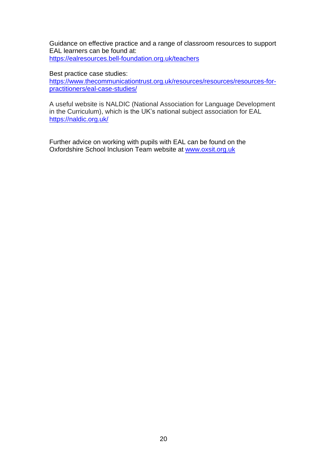Guidance on effective practice and a range of classroom resources to support EAL learners can be found at: <https://ealresources.bell-foundation.org.uk/teachers>

Best practice case studies:

[https://www.thecommunicationtrust.org.uk/resources/resources/resources-for](https://www.thecommunicationtrust.org.uk/resources/resources/resources-for-practitioners/eal-case-studies/)[practitioners/eal-case-studies/](https://www.thecommunicationtrust.org.uk/resources/resources/resources-for-practitioners/eal-case-studies/)

A useful website is NALDIC (National Association for Language Development in the Curriculum), which is the UK's national subject association for EAL <https://naldic.org.uk/>

Further advice on working with pupils with EAL can be found on the Oxfordshire School Inclusion Team website at [www.oxsit.org.uk](http://www.oxsit.org.uk/)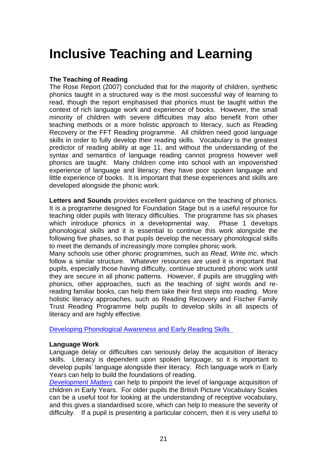# <span id="page-21-0"></span>**Inclusive Teaching and Learning**

### **The Teaching of Reading**

The Rose Report (2007) concluded that for the majority of children, synthetic phonics taught in a structured way is the most successful way of learning to read, though the report emphasised that phonics must be taught within the context of rich language work and experience of books. However, the small minority of children with severe difficulties may also benefit from other teaching methods or a more holistic approach to literacy, such as Reading Recovery or the FFT Reading programme. All children need good language skills in order to fully develop their reading skills. Vocabulary is the greatest predictor of reading ability at age 11, and without the understanding of the syntax and semantics of language reading cannot progress however well phonics are taught. Many children come into school with an impoverished experience of language and literacy; they have poor spoken language and little experience of books. It is important that these experiences and skills are developed alongside the phonic work.

**Letters and Sounds** provides excellent guidance on the teaching of phonics. It is a programme designed for Foundation Stage but is a useful resource for teaching older pupils with literacy difficulties. The programme has six phases which introduce phonics in a developmental way. Phase 1 develops phonological skills and it is essential to continue this work alongside the following five phases, so that pupils develop the necessary phonological skills to meet the demands of increasingly more complex phonic work.

Many schools use other phonic programmes, such as *Read, Write Inc*, which follow a similar structure. Whatever resources are used it is important that pupils, especially those having difficulty, continue structured phonic work until they are secure in all phonic patterns. However, if pupils are struggling with phonics, other approaches, such as the teaching of sight words and rereading familiar books, can help them take their first steps into reading. More holistic literacy approaches, such as Reading Recovery and Fischer Family Trust Reading Programme help pupils to develop skills in all aspects of literacy and are highly effective.

[Developing Phonological Awareness and Early Reading Skills](https://drive.google.com/file/d/16DbdAY65vFIu8lWJEM30ZsSJ-63gSJvY/view?usp=sharing)

### **Language Work**

Language delay or difficulties can seriously delay the acquisition of literacy skills. Literacy is dependent upon spoken language, so it is important to develop pupils' language alongside their literacy. Rich language work in Early Years can help to build the foundations of reading.

*[Development Matters](https://www.early-education.org.uk/development-matters-early-years-foundation-stage-eyfs-download)* can help to pinpoint the level of language acquisition of children in Early Years. For older pupils the British Picture Vocabulary Scales can be a useful tool for looking at the understanding of receptive vocabulary, and this gives a standardised score, which can help to measure the severity of difficulty. If a pupil is presenting a particular concern, then it is very useful to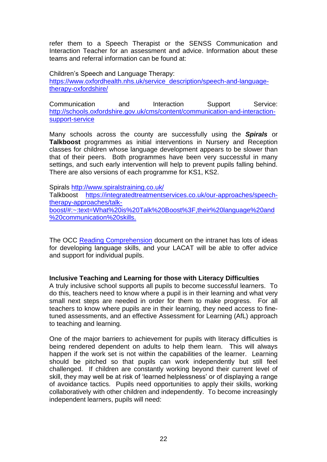refer them to a Speech Therapist or the SENSS Communication and Interaction Teacher for an assessment and advice. Information about these teams and referral information can be found at:

Children's Speech and Language Therapy: [https://www.oxfordhealth.nhs.uk/service\\_description/speech-and-language](https://www.oxfordhealth.nhs.uk/service_description/speech-and-language-therapy-oxfordshire/)[therapy-oxfordshire/](https://www.oxfordhealth.nhs.uk/service_description/speech-and-language-therapy-oxfordshire/)

Communication and Interaction Support Service: [http://schools.oxfordshire.gov.uk/cms/content/communication-and-interaction](http://schools.oxfordshire.gov.uk/cms/content/communication-and-interaction-support-service)[support-service](http://schools.oxfordshire.gov.uk/cms/content/communication-and-interaction-support-service)

Many schools across the county are successfully using the *Spirals* or **Talkboost** programmes as initial interventions in Nursery and Reception classes for children whose language development appears to be slower than that of their peers. Both programmes have been very successful in many settings, and such early intervention will help to prevent pupils falling behind. There are also versions of each programme for KS1, KS2.

Spirals<http://www.spiralstraining.co.uk/> Talkboost [https://integratedtreatmentservices.co.uk/our-approaches/speech](https://integratedtreatmentservices.co.uk/our-approaches/speech-therapy-approaches/talk-boost/#:~:text=What%20is%20Talk%20Boost%3F,their%20language%20and%20communication%20skills.)[therapy-approaches/talk](https://integratedtreatmentservices.co.uk/our-approaches/speech-therapy-approaches/talk-boost/#:~:text=What%20is%20Talk%20Boost%3F,their%20language%20and%20communication%20skills.)[boost/#:~:text=What%20is%20Talk%20Boost%3F,their%20language%20and](https://integratedtreatmentservices.co.uk/our-approaches/speech-therapy-approaches/talk-boost/#:~:text=What%20is%20Talk%20Boost%3F,their%20language%20and%20communication%20skills.) [%20communication%20skills.](https://integratedtreatmentservices.co.uk/our-approaches/speech-therapy-approaches/talk-boost/#:~:text=What%20is%20Talk%20Boost%3F,their%20language%20and%20communication%20skills.)

The OCC [Reading Comprehension](https://portal.oxfordshire.gov.uk/content/public/LandC/Childserv/sen/advisory/reading_comprehension.pdf) document on the intranet has lots of ideas for developing language skills, and your LACAT will be able to offer advice and support for individual pupils.

### **Inclusive Teaching and Learning for those with Literacy Difficulties**

A truly inclusive school supports all pupils to become successful learners. To do this, teachers need to know where a pupil is in their learning and what very small next steps are needed in order for them to make progress. For all teachers to know where pupils are in their learning, they need access to finetuned assessments, and an effective Assessment for Learning (AfL) approach to teaching and learning.

One of the major barriers to achievement for pupils with literacy difficulties is being rendered dependent on adults to help them learn. This will always happen if the work set is not within the capabilities of the learner. Learning should be pitched so that pupils can work independently but still feel challenged. If children are constantly working beyond their current level of skill, they may well be at risk of 'learned helplessness' or of displaying a range of avoidance tactics. Pupils need opportunities to apply their skills, working collaboratively with other children and independently. To become increasingly independent learners, pupils will need: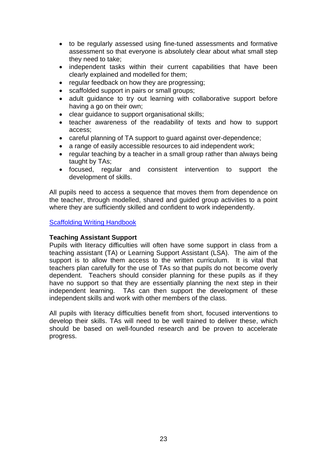- to be regularly assessed using fine-tuned assessments and formative assessment so that everyone is absolutely clear about what small step they need to take;
- independent tasks within their current capabilities that have been clearly explained and modelled for them;
- regular feedback on how they are progressing:
- scaffolded support in pairs or small groups;
- adult guidance to try out learning with collaborative support before having a go on their own;
- clear guidance to support organisational skills;
- teacher awareness of the readability of texts and how to support access;
- careful planning of TA support to guard against over-dependence;
- a range of easily accessible resources to aid independent work;
- regular teaching by a teacher in a small group rather than always being taught by TAs;
- focused, regular and consistent intervention to support the development of skills.

All pupils need to access a sequence that moves them from dependence on the teacher, through modelled, shared and guided group activities to a point where they are sufficiently skilled and confident to work independently.

[Scaffolding Writing Handbook](https://drive.google.com/file/d/1UlM9Sdada-mJdMc2EV12rzxsSUYzDAeh/view?usp=sharing)

### **Teaching Assistant Support**

Pupils with literacy difficulties will often have some support in class from a teaching assistant (TA) or Learning Support Assistant (LSA). The aim of the support is to allow them access to the written curriculum. It is vital that teachers plan carefully for the use of TAs so that pupils do not become overly dependent. Teachers should consider planning for these pupils as if they have no support so that they are essentially planning the next step in their independent learning. TAs can then support the development of these independent skills and work with other members of the class.

<span id="page-23-0"></span>All pupils with literacy difficulties benefit from short, focused interventions to develop their skills. TAs will need to be well trained to deliver these, which should be based on well-founded research and be proven to accelerate progress.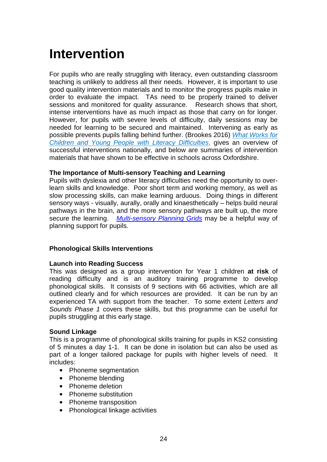# <span id="page-24-0"></span>**Intervention**

For pupils who are really struggling with literacy, even outstanding classroom teaching is unlikely to address all their needs. However, it is important to use good quality intervention materials and to monitor the progress pupils make in order to evaluate the impact. TAs need to be properly trained to deliver sessions and monitored for quality assurance. Research shows that short, intense interventions have as much impact as those that carry on for longer. However, for pupils with severe levels of difficulty, daily sessions may be needed for learning to be secured and maintained. Intervening as early as possible prevents pupils falling behind further. (Brookes 2016) *What [Works](https://www.helenarkell.org.uk/documents/files/What-works-for-children-and-young-people-with-literacy-difficulties-5th-edition.pdf) for [Children and Young People with Literacy](https://www.helenarkell.org.uk/documents/files/What-works-for-children-and-young-people-with-literacy-difficulties-5th-edition.pdf) Difficulties*, gives an overview of successful interventions nationally, and below are summaries of intervention materials that have shown to be effective in schools across Oxfordshire.

### **The Importance of Multi-sensory Teaching and Learning**

Pupils with dyslexia and other literacy difficulties need the opportunity to overlearn skills and knowledge. Poor short term and working memory, as well as slow processing skills, can make learning arduous. Doing things in different sensory ways - visually, aurally, orally and kinaesthetically – helps build neural pathways in the brain, and the more sensory pathways are built up, the more secure the learning. *[Multi-sensory Planning Grids](https://drive.google.com/file/d/1qIXred3yN8DywDJxRrkFlbZDXOYgy-KB/view?usp=sharing)* may be a helpful way of planning support for pupils.

### **Phonological Skills Interventions**

### **Launch into Reading Success**

This was designed as a group intervention for Year 1 children **at risk** of reading difficulty and is an auditory training programme to develop phonological skills. It consists of 9 sections with 66 activities, which are all outlined clearly and for which resources are provided. It can be run by an experienced TA with support from the teacher. To some extent *Letters and Sounds Phase 1* covers these skills, but this programme can be useful for pupils struggling at this early stage.

### **Sound Linkage**

This is a programme of phonological skills training for pupils in KS2 consisting of 5 minutes a day 1-1. It can be done in isolation but can also be used as part of a longer tailored package for pupils with higher levels of need. It includes:

- Phoneme seamentation
- Phoneme blending
- Phoneme deletion
- Phoneme substitution
- Phoneme transposition
- Phonological linkage activities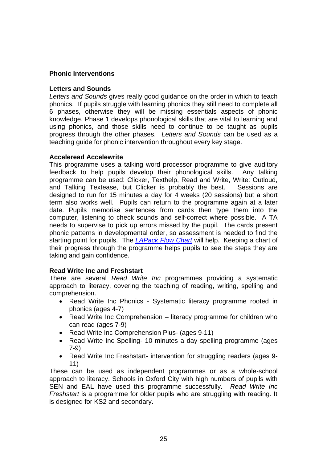### **Phonic Interventions**

### **Letters and Sounds**

*Letters and Sounds* gives really good guidance on the order in which to teach phonics. If pupils struggle with learning phonics they still need to complete all 6 phases, otherwise they will be missing essentials aspects of phonic knowledge. Phase 1 develops phonological skills that are vital to learning and using phonics, and those skills need to continue to be taught as pupils progress through the other phases. *Letters and Sounds* can be used as a teaching guide for phonic intervention throughout every key stage.

### **Acceleread Accelewrite**

This programme uses a talking word processor programme to give auditory feedback to help pupils develop their phonological skills. Any talking programme can be used: Clicker, Texthelp, Read and Write, Write: Outloud, and Talking Textease, but Clicker is probably the best. Sessions are designed to run for 15 minutes a day for 4 weeks (20 sessions) but a short term also works well. Pupils can return to the programme again at a later date. Pupils memorise sentences from cards then type them into the computer, listening to check sounds and self-correct where possible. A TA needs to supervise to pick up errors missed by the pupil. The cards present phonic patterns in developmental order, so assessment is needed to find the starting point for pupils. The *[LAPack Flow Chart](https://drive.google.com/file/d/1TTAn3vmeJBZGR7F9zQCGDz1OAiYA8KSe/view?usp=sharing)* will help. Keeping a chart of their progress through the programme helps pupils to see the steps they are taking and gain confidence.

### **Read Write Inc and Freshstart**

There are several *Read Write Inc* programmes providing a systematic approach to literacy, covering the teaching of reading, writing, spelling and comprehension.

- Read Write Inc Phonics Systematic literacy programme rooted in phonics (ages 4-7)
- Read Write Inc Comprehension literacy programme for children who can read (ages 7-9)
- Read Write Inc Comprehension Plus- (ages 9-11)
- Read Write Inc Spelling- 10 minutes a day spelling programme (ages 7-9)
- Read Write Inc Freshstart- intervention for struggling readers (ages 9- 11)

These can be used as independent programmes or as a whole-school approach to literacy. Schools in Oxford City with high numbers of pupils with SEN and EAL have used this programme successfully. *Read Write Inc Freshstart* is a programme for older pupils who are struggling with reading. It is designed for KS2 and secondary.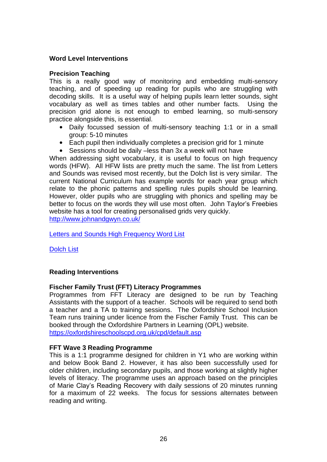### **Word Level Interventions**

### **Precision Teaching**

This is a really good way of monitoring and embedding multi-sensory teaching, and of speeding up reading for pupils who are struggling with decoding skills. It is a useful way of helping pupils learn letter sounds, sight vocabulary as well as times tables and other number facts. Using the precision grid alone is not enough to embed learning, so multi-sensory practice alongside this, is essential.

- Daily focussed session of multi-sensory teaching 1:1 or in a small group: 5-10 minutes
- Each pupil then individually completes a precision grid for 1 minute
- Sessions should be daily –less than 3x a week will not have

When addressing sight vocabulary, it is useful to focus on high frequency words (HFW). All HFW lists are pretty much the same. The list from Letters and Sounds was revised most recently, but the Dolch list is very similar. The current National Curriculum has example words for each year group which relate to the phonic patterns and spelling rules pupils should be learning. However, older pupils who are struggling with phonics and spelling may be better to focus on the words they will use most often. John Taylor's Freebies website has a tool for creating personalised grids very quickly. <http://www.johnandgwyn.co.uk/>

[Letters and Sounds High Frequency Word List](https://drive.google.com/file/d/1l6giVt-2IwiiyJPz1DR3NWMedo8kmqtx/view?usp=sharing)

[Dolch List](https://drive.google.com/file/d/1i97Fll4EanIGxSh9FTpQXZgMkgj26kBy/view?usp=sharing)

### **Reading Interventions**

### **Fischer Family Trust (FFT) Literacy Programmes**

Programmes from FFT Literacy are designed to be run by Teaching Assistants with the support of a teacher. Schools will be required to send both a teacher and a TA to training sessions. The Oxfordshire School Inclusion Team runs training under licence from the Fischer Family Trust. This can be booked through the Oxfordshire Partners in Learning (OPL) website. <https://oxfordshireschoolscpd.org.uk/cpd/default.asp>

### **FFT Wave 3 Reading Programme**

This is a 1:1 programme designed for children in Y1 who are working within and below Book Band 2. However, it has also been successfully used for older children, including secondary pupils, and those working at slightly higher levels of literacy. The programme uses an approach based on the principles of Marie Clay's Reading Recovery with daily sessions of 20 minutes running for a maximum of 22 weeks. The focus for sessions alternates between reading and writing.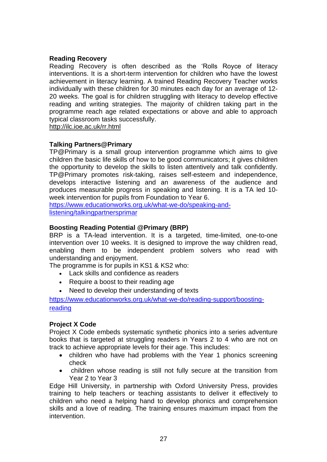### **Reading Recovery**

Reading Recovery is often described as the 'Rolls Royce of literacy interventions. It is a short-term intervention for children who have the lowest achievement in literacy learning. A trained Reading Recovery Teacher works individually with these children for 30 minutes each day for an average of 12- 20 weeks. The goal is for children struggling with literacy to develop effective reading and writing strategies. The majority of children taking part in the programme reach age related expectations or above and able to approach typical classroom tasks successfully.

<http://ilc.ioe.ac.uk/rr.html>

### **Talking Partners@Primary**

TP@Primary is a small group intervention programme which aims to give children the basic life skills of how to be good communicators; it gives children the opportunity to develop the skills to listen attentively and talk confidently. TP@Primary promotes risk-taking, raises self-esteem and independence, develops interactive listening and an awareness of the audience and produces measurable progress in speaking and listening. It is a TA led 10 week intervention for pupils from Foundation to Year 6.

[https://www.educationworks.org.uk/what-we-do/speaking-and](https://www.educationworks.org.uk/what-we-do/speaking-and-listening/talkingpartnersprimar)[listening/talkingpartnersprimar](https://www.educationworks.org.uk/what-we-do/speaking-and-listening/talkingpartnersprimar)

### **Boosting Reading Potential @Primary (BRP)**

BRP is a TA-lead intervention. It is a targeted, time-limited, one-to-one intervention over 10 weeks. It is designed to improve the way children read, enabling them to be independent problem solvers who read with understanding and enjoyment.

The programme is for pupils in KS1 & KS2 who:

- Lack skills and confidence as readers
- Require a boost to their reading age
- Need to develop their understanding of texts

[https://www.educationworks.org.uk/what-we-do/reading-support/boosting](https://www.educationworks.org.uk/what-we-do/reading-support/boosting-reading)[reading](https://www.educationworks.org.uk/what-we-do/reading-support/boosting-reading)

### **Project X Code**

Project X Code embeds systematic synthetic phonics into a series adventure books that is targeted at struggling readers in Years 2 to 4 who are not on track to achieve appropriate levels for their age. This includes:

- children who have had problems with the Year 1 phonics screening check
- children whose reading is still not fully secure at the transition from Year 2 to Year 3

Edge Hill University, in partnership with Oxford University Press, provides training to help teachers or teaching assistants to deliver it effectively to children who need a helping hand to develop phonics and comprehension skills and a love of reading. The training ensures maximum impact from the intervention.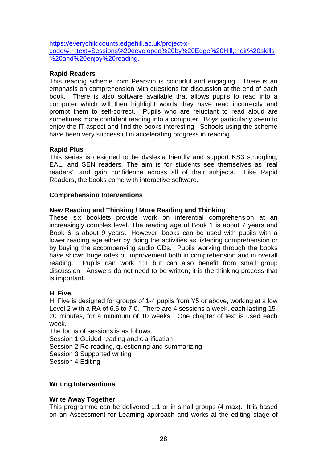[https://everychildcounts.edgehill.ac.uk/project-x](https://everychildcounts.edgehill.ac.uk/project-x-code/#:~:text=Sessions%20developed%20by%20Edge%20Hill,their%20skills%20and%20enjoy%20reading.)[code/#:~:text=Sessions%20developed%20by%20Edge%20Hill,their%20skills](https://everychildcounts.edgehill.ac.uk/project-x-code/#:~:text=Sessions%20developed%20by%20Edge%20Hill,their%20skills%20and%20enjoy%20reading.) [%20and%20enjoy%20reading.](https://everychildcounts.edgehill.ac.uk/project-x-code/#:~:text=Sessions%20developed%20by%20Edge%20Hill,their%20skills%20and%20enjoy%20reading.)

### **Rapid Readers**

This reading scheme from Pearson is colourful and engaging. There is an emphasis on comprehension with questions for discussion at the end of each book. There is also software available that allows pupils to read into a computer which will then highlight words they have read incorrectly and prompt them to self-correct. Pupils who are reluctant to read aloud are sometimes more confident reading into a computer. Boys particularly seem to enjoy the IT aspect and find the books interesting. Schools using the scheme have been very successful in accelerating progress in reading.

### **Rapid Plus**

This series is designed to be dyslexia friendly and support KS3 struggling, EAL, and SEN readers. The aim is for students see themselves as 'real readers', and gain confidence across all of their subjects. Like Rapid Readers, the books come with interactive software.

### **Comprehension Interventions**

### **New Reading and Thinking / More Reading and Thinking**

These six booklets provide work on inferential comprehension at an increasingly complex level. The reading age of Book 1 is about 7 years and Book 6 is about 9 years. However, books can be used with pupils with a lower reading age either by doing the activities as listening comprehension or by buying the accompanying audio CDs. Pupils working through the books have shown huge rates of improvement both in comprehension and in overall reading. Pupils can work 1:1 but can also benefit from small group discussion. Answers do not need to be written; it is the thinking process that is important.

### **Hi Five**

Hi Five is designed for groups of 1-4 pupils from Y5 or above, working at a low Level 2 with a RA of 6.5 to 7.0. There are 4 sessions a week, each lasting 15- 20 minutes, for a minimum of 10 weeks. One chapter of text is used each week.

The focus of sessions is as follows: Session 1 Guided reading and clarification Session 2 Re-reading, questioning and summarizing Session 3 Supported writing Session 4 Editing

### **Writing Interventions**

### **Write Away Together**

This programme can be delivered 1:1 or in small groups (4 max). It is based on an Assessment for Learning approach and works at the editing stage of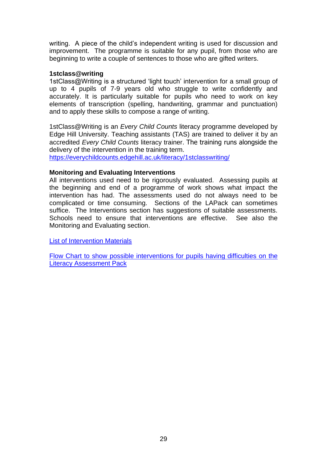writing. A piece of the child's independent writing is used for discussion and improvement. The programme is suitable for any pupil, from those who are beginning to write a couple of sentences to those who are gifted writers.

### **1stclass@writing**

1stClass@Writing is a structured 'light touch' intervention for a small group of up to 4 pupils of 7-9 years old who struggle to write confidently and accurately. It is particularly suitable for pupils who need to work on key elements of transcription (spelling, handwriting, grammar and punctuation) and to apply these skills to compose a range of writing.

1stClass@Writing is an *Every Child Counts* literacy programme developed by Edge Hill University. Teaching assistants (TAS) are trained to deliver it by an accredited *Every Child Counts* literacy trainer. The training runs alongside the delivery of the intervention in the training term.

<https://everychildcounts.edgehill.ac.uk/literacy/1stclasswriting/>

### **Monitoring and Evaluating Interventions**

All interventions used need to be rigorously evaluated. Assessing pupils at the beginning and end of a programme of work shows what impact the intervention has had. The assessments used do not always need to be complicated or time consuming. Sections of the LAPack can sometimes suffice. The Interventions section has suggestions of suitable assessments. Schools need to ensure that interventions are effective. See also the Monitoring and Evaluating section.

[List of Intervention Materials](https://drive.google.com/file/d/1vohIqkpF2Nd-wnTE4b0j_qTNrxQv7F1_/view?usp=sharing)

[Flow Chart to show possible interventions for pupils having difficulties on the](https://drive.google.com/file/d/1TTAn3vmeJBZGR7F9zQCGDz1OAiYA8KSe/view?usp=sharing)  [Literacy Assessment Pack](https://drive.google.com/file/d/1TTAn3vmeJBZGR7F9zQCGDz1OAiYA8KSe/view?usp=sharing)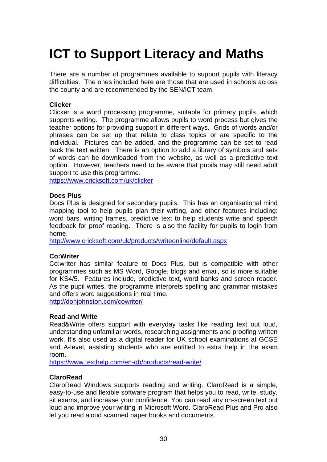# <span id="page-30-0"></span>**ICT to Support Literacy and Maths**

There are a number of programmes available to support pupils with literacy difficulties. The ones included here are those that are used in schools across the county and are recommended by the SEN/ICT team.

### **Clicker**

Clicker is a word processing programme, suitable for primary pupils, which supports writing. The programme allows pupils to word process but gives the teacher options for providing support in different ways. Grids of words and/or phrases can be set up that relate to class topics or are specific to the individual. Pictures can be added, and the programme can be set to read back the text written. There is an option to add a library of symbols and sets of words can be downloaded from the website, as well as a predictive text option. However, teachers need to be aware that pupils may still need adult support to use this programme.

<https://www.cricksoft.com/uk/clicker>

### **Docs Plus**

Docs Plus is designed for secondary pupils. This has an organisational mind mapping tool to help pupils plan their writing, and other features including: word bars, writing frames, predictive text to help students write and speech feedback for proof reading. There is also the facility for pupils to login from home.

<http://www.cricksoft.com/uk/products/writeonline/default.aspx>

### **Co:Writer**

Co:writer has similar feature to Docs Plus, but is compatible with other programmes such as MS Word, Google, blogs and email, so is more suitable for KS4/5. Features include, predictive text, word banks and screen reader. As the pupil writes, the programme interprets spelling and grammar mistakes and offers word suggestions in real time.

<http://donjohnston.com/cowriter/>

### **Read and Write**

Read&Write offers support with everyday tasks like reading text out loud, understanding unfamiliar words, researching assignments and proofing written work. It's also used as a digital reader for UK school examinations at GCSE and A-level, assisting students who are entitled to extra help in the exam room.

<https://www.texthelp.com/en-gb/products/read-write/>

### **ClaroRead**

ClaroRead Windows supports reading and writing. ClaroRead is a simple, easy-to-use and flexible software program that helps you to read, write, study, sit [exams,](https://www.clarosoftware.com/education/exams/) and increase your confidence. You can read any on-screen text out loud and improve your writing in Microsoft Word. ClaroRead Plus and Pro also let you read aloud scanned paper books and documents.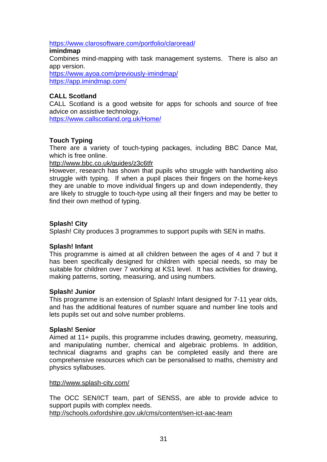<https://www.clarosoftware.com/portfolio/claroread/>

### **imindmap**

Combines mind-mapping with task management systems. There is also an app version.

<https://www.ayoa.com/previously-imindmap/> <https://app.imindmap.com/>

### **CALL Scotland**

CALL Scotland is a good website for apps for schools and source of free advice on assistive technology.

<https://www.callscotland.org.uk/Home/>

### **Touch Typing**

There are a variety of touch-typing packages, including BBC Dance Mat, which is free online.

### <http://www.bbc.co.uk/guides/z3c6tfr>

However, research has shown that pupils who struggle with handwriting also struggle with typing. If when a pupil places their fingers on the home-keys they are unable to move individual fingers up and down independently, they are likely to struggle to touch-type using all their fingers and may be better to find their own method of typing.

### **Splash! City**

Splash! City produces 3 programmes to support pupils with SEN in maths.

### **Splash! Infant**

This programme is aimed at all children between the ages of 4 and 7 but it has been specifically designed for children with special needs, so may be suitable for children over 7 working at KS1 level. It has activities for drawing, making patterns, sorting, measuring, and using numbers.

### **Splash! Junior**

This programme is an extension of Splash! Infant designed for 7-11 year olds, and has the additional features of number square and number line tools and lets pupils set out and solve number problems.

### **Splash! Senior**

Aimed at 11+ pupils, this programme includes drawing, geometry, measuring, and manipulating number, chemical and algebraic problems. In addition, technical diagrams and graphs can be completed easily and there are comprehensive resources which can be personalised to maths, chemistry and physics syllabuses.

### <http://www.splash-city.com/>

The OCC SEN/ICT team, part of SENSS, are able to provide advice to support pupils with complex needs.

<http://schools.oxfordshire.gov.uk/cms/content/sen-ict-aac-team>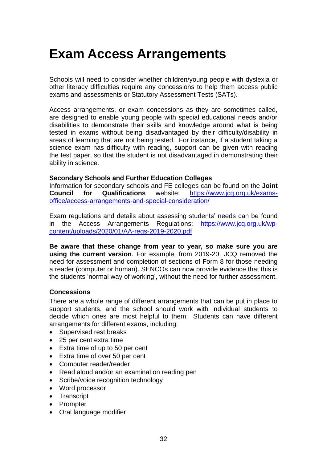# <span id="page-32-0"></span>**Exam Access Arrangements**

Schools will need to consider whether children/young people with dyslexia or other literacy difficulties require any concessions to help them access public exams and assessments or Statutory Assessment Tests (SATs).

Access arrangements, or exam concessions as they are sometimes called, are designed to enable young people with special educational needs and/or disabilities to demonstrate their skills and knowledge around what is being tested in exams without being disadvantaged by their difficulty/disability in areas of learning that are not being tested. For instance, if a student taking a science exam has difficulty with reading, support can be given with reading the test paper, so that the student is not disadvantaged in demonstrating their ability in science.

### **Secondary Schools and Further Education Colleges**

Information for secondary schools and FE colleges can be found on the **Joint Council for Qualifications** website: [https://www.jcq.org.uk/exams](https://www.jcq.org.uk/exams-office/access-arrangements-and-special-consideration/)[office/access-arrangements-and-special-consideration/](https://www.jcq.org.uk/exams-office/access-arrangements-and-special-consideration/)

Exam regulations and details about assessing students' needs can be found in the Access Arrangements Regulations: [https://www.jcq.org.uk/wp](https://www.jcq.org.uk/wp-content/uploads/2020/01/AA-regs-2019-2020.pdf)[content/uploads/2020/01/AA-regs-2019-2020.pdf](https://www.jcq.org.uk/wp-content/uploads/2020/01/AA-regs-2019-2020.pdf) 

**Be aware that these change from year to year, so make sure you are using the current version**. For example, from 2019-20, JCQ removed the need for assessment and completion of sections of Form 8 for those needing a reader (computer or human). SENCOs can now provide evidence that this is the students 'normal way of working', without the need for further assessment.

### **Concessions**

There are a whole range of different arrangements that can be put in place to support students, and the school should work with individual students to decide which ones are most helpful to them. Students can have different arrangements for different exams, including:

- Supervised rest breaks
- 25 per cent extra time
- Extra time of up to 50 per cent
- Extra time of over 50 per cent
- Computer reader/reader
- Read aloud and/or an examination reading pen
- Scribe/voice recognition technology
- Word processor
- Transcript
- Prompter
- Oral language modifier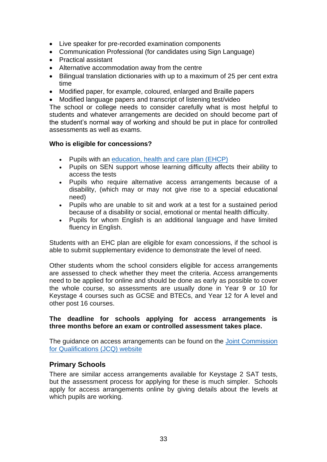- Live speaker for pre-recorded examination components
- Communication Professional (for candidates using Sign Language)
- Practical assistant
- Alternative accommodation away from the centre
- Bilingual translation dictionaries with up to a maximum of 25 per cent extra time
- Modified paper, for example, coloured, enlarged and Braille papers
- Modified language papers and transcript of listening test/video

The school or college needs to consider carefully what is most helpful to students and whatever arrangements are decided on should become part of the student's normal way of working and should be put in place for controlled assessments as well as exams.

### **Who is eligible for concessions?**

- Pupils with an [education, health and care plan \(EHCP\)](https://www2.oxfordshire.gov.uk/cms/taxonomy/term/1089)
- Pupils on SEN support whose learning difficulty affects their ability to access the tests
- Pupils who require alternative access arrangements because of a disability, (which may or may not give rise to a special educational need)
- Pupils who are unable to sit and work at a test for a sustained period because of a disability or social, emotional or mental health difficulty.
- Pupils for whom English is an additional language and have limited fluency in English.

Students with an EHC plan are eligible for exam concessions, if the school is able to submit supplementary evidence to demonstrate the level of need.

Other students whom the school considers eligible for access arrangements are assessed to check whether they meet the criteria. Access arrangements need to be applied for online and should be done as early as possible to cover the whole course, so assessments are usually done in Year 9 or 10 for Keystage 4 courses such as GCSE and BTECs, and Year 12 for A level and other post 16 courses.

### **The deadline for schools applying for access arrangements is three months before an exam or controlled assessment takes place.**

The guidance on access arrangements can be found on the [Joint Commission](https://www.jcq.org.uk/)  [for Qualifications \(JCQ\) website](https://www.jcq.org.uk/)

### **Primary Schools**

There are similar access arrangements available for Keystage 2 SAT tests, but the assessment process for applying for these is much simpler. Schools apply for access arrangements online by giving details about the levels at which pupils are working.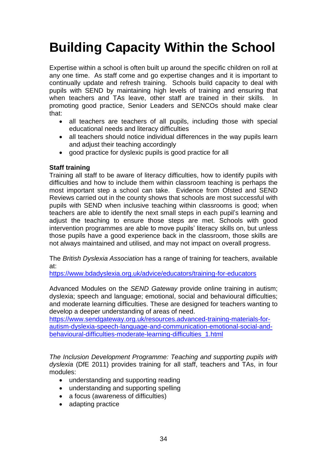# <span id="page-34-0"></span>**Building Capacity Within the School**

Expertise within a school is often built up around the specific children on roll at any one time. As staff come and go expertise changes and it is important to continually update and refresh training. Schools build capacity to deal with pupils with SEND by maintaining high levels of training and ensuring that when teachers and TAs leave, other staff are trained in their skills. In promoting good practice, Senior Leaders and SENCOs should make clear that:

- all teachers are teachers of all pupils, including those with special educational needs and literacy difficulties
- all teachers should notice individual differences in the way pupils learn and adjust their teaching accordingly
- good practice for dyslexic pupils is good practice for all

### **Staff training**

Training all staff to be aware of literacy difficulties, how to identify pupils with difficulties and how to include them within classroom teaching is perhaps the most important step a school can take. Evidence from Ofsted and SEND Reviews carried out in the county shows that schools are most successful with pupils with SEND when inclusive teaching within classrooms is good; when teachers are able to identify the next small steps in each pupil's learning and adjust the teaching to ensure those steps are met. Schools with good intervention programmes are able to move pupils' literacy skills on, but unless those pupils have a good experience back in the classroom, those skills are not always maintained and utilised, and may not impact on overall progress.

The *British Dyslexia Association* has a range of training for teachers, available at:

<https://www.bdadyslexia.org.uk/advice/educators/training-for-educators>

Advanced Modules on the *SEND Gateway* provide online training in autism; dyslexia; speech and language; [emotional, social and behavioural difficulties;](http://www.advanced-training.org.uk/)  [and moderate learning difficulties.](http://www.advanced-training.org.uk/) These are designed for teachers wanting to develop a deeper understanding of areas of need.

[https://www.sendgateway.org.uk/resources.advanced-training-materials-for](https://www.sendgateway.org.uk/resources.advanced-training-materials-for-autism-dyslexia-speech-language-and-communication-emotional-social-and-behavioural-difficulties-moderate-learning-difficulties_1.html)[autism-dyslexia-speech-language-and-communication-emotional-social-and](https://www.sendgateway.org.uk/resources.advanced-training-materials-for-autism-dyslexia-speech-language-and-communication-emotional-social-and-behavioural-difficulties-moderate-learning-difficulties_1.html)[behavioural-difficulties-moderate-learning-difficulties\\_1.html](https://www.sendgateway.org.uk/resources.advanced-training-materials-for-autism-dyslexia-speech-language-and-communication-emotional-social-and-behavioural-difficulties-moderate-learning-difficulties_1.html)

*The Inclusion Development Programme: Teaching and supporting pupils with dyslexia* (DfE 2011) provides training for all staff, teachers and TAs, in four modules:

- understanding and supporting reading
- understanding and supporting spelling
- a focus (awareness of difficulties)
- adapting practice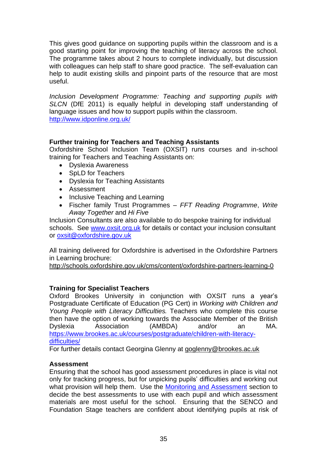This gives good guidance on supporting pupils within the classroom and is a good starting point for improving the teaching of literacy across the school. The programme takes about 2 hours to complete individually, but discussion with colleagues can help staff to share good practice. The self-evaluation can help to audit existing skills and pinpoint parts of the resource that are most useful.

*Inclusion Development Programme: Teaching and supporting pupils with SLCN* (DfE 2011) is equally helpful in developing staff understanding of language issues and how to support pupils within the classroom. <http://www.idponline.org.uk/>

### **Further training for Teachers and Teaching Assistants**

Oxfordshire School Inclusion Team (OXSIT) runs courses and in-school training for Teachers and Teaching Assistants on:

- Dyslexia Awareness
- SpLD for Teachers
- Dyslexia for Teaching Assistants
- Assessment
- Inclusive Teaching and Learning
- Fischer family Trust Programmes *FFT Reading Programme*, *Write Away Together* and *Hi Five*

Inclusion Consultants are also available to do bespoke training for individual schools. See [www.oxsit.org.uk](http://www.oxsit.org.uk/) for details or contact your inclusion consultant or [oxsit@oxfordshire.gov.uk](mailto:oxsit@oxfordshire.gov.uk)

All training delivered for Oxfordshire is advertised in the Oxfordshire Partners in Learning brochure:

<http://schools.oxfordshire.gov.uk/cms/content/oxfordshire-partners-learning-0>

### **Training for Specialist Teachers**

Oxford Brookes University in conjunction with OXSIT runs a year's Postgraduate Certificate of Education (PG Cert) in *Working with Children and Young People with Literacy Difficulties.* Teachers who complete this course then have the option of working towards the Associate Member of the British Dyslexia Association (AMBDA) and/or an MA. [https://www.brookes.ac.uk/courses/postgraduate/children-with-literacy](https://www.brookes.ac.uk/courses/postgraduate/children-with-literacy-difficulties/)[difficulties/](https://www.brookes.ac.uk/courses/postgraduate/children-with-literacy-difficulties/)

For further details contact Georgina Glenny at [goglenny@brookes.ac.uk](mailto:goglenny@brookes.ac.uk)

### **Assessment**

Ensuring that the school has good assessment procedures in place is vital not only for tracking progress, but for unpicking pupils' difficulties and working out what provision will help them. Use the Monitoring and Assessment section to decide the best assessments to use with each pupil and which assessment materials are most useful for the school. Ensuring that the SENCO and Foundation Stage teachers are confident about identifying pupils at risk of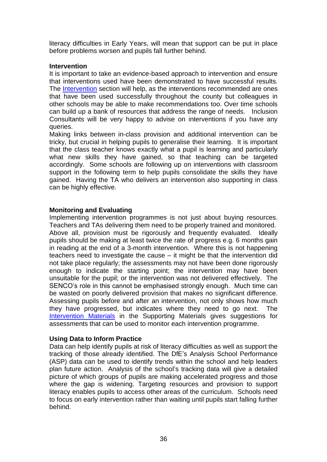literacy difficulties in Early Years, will mean that support can be put in place before problems worsen and pupils fall further behind.

### **Intervention**

It is important to take an evidence-based approach to intervention and ensure that interventions used have been demonstrated to have successful results. The [Intervention](#page-23-0) section will help, as the interventions recommended are ones that have been used successfully throughout the county but colleagues in other schools may be able to make recommendations too. Over time schools can build up a bank of resources that address the range of needs. Inclusion Consultants will be very happy to advise on interventions if you have any queries.

Making links between in-class provision and additional intervention can be tricky, but crucial in helping pupils to generalise their learning. It is important that the class teacher knows exactly what a pupil is learning and particularly what new skills they have gained, so that teaching can be targeted accordingly. Some schools are following up on interventions with classroom support in the following term to help pupils consolidate the skills they have gained. Having the TA who delivers an intervention also supporting in class can be highly effective.

### **Monitoring and Evaluating**

Implementing intervention programmes is not just about buying resources. Teachers and TAs delivering them need to be properly trained and monitored. Above all, provision must be rigorously and frequently evaluated. Ideally pupils should be making at least twice the rate of progress e.g. 6 months gain in reading at the end of a 3-month intervention. Where this is not happening teachers need to investigate the cause – it might be that the intervention did not take place regularly; the assessments may not have been done rigorously enough to indicate the starting point; the intervention may have been unsuitable for the pupil; or the intervention was not delivered effectively. The SENCO's role in this cannot be emphasised strongly enough. Much time can be wasted on poorly delivered provision that makes no significant difference. Assessing pupils before and after an intervention, not only shows how much they have progressed, but indicates where they need to go next. The [Intervention Materials](https://drive.google.com/file/d/1vohIqkpF2Nd-wnTE4b0j_qTNrxQv7F1_/view?usp=sharing) in the Supporting Materials gives suggestions for assessments that can be used to monitor each intervention programme.

### **Using Data to Inform Practice**

Data can help identify pupils at risk of literacy difficulties as well as support the tracking of those already identified. The DfE's Analysis School Performance (ASP) data can be used to identify trends within the school and help leaders plan future action. Analysis of the school's tracking data will give a detailed picture of which groups of pupils are making accelerated progress and those where the gap is widening. Targeting resources and provision to support literacy enables pupils to access other areas of the curriculum. Schools need to focus on early intervention rather than waiting until pupils start falling further behind.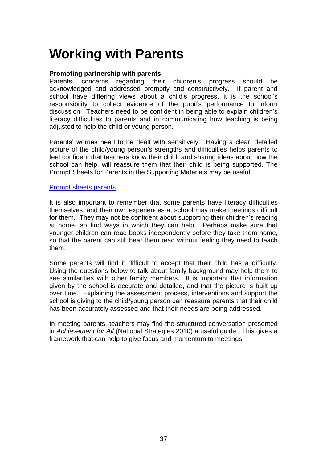# <span id="page-37-0"></span>**Working with Parents**

### **Promoting partnership with parents**

Parents' concerns regarding their children's progress should be acknowledged and addressed promptly and constructively. If parent and school have differing views about a child's progress, it is the school's responsibility to collect evidence of the pupil's performance to inform discussion. Teachers need to be confident in being able to explain children's literacy difficulties to parents and in communicating how teaching is being adjusted to help the child or young person.

Parents' worries need to be dealt with sensitively. Having a clear, detailed picture of the child/young person's strengths and difficulties helps parents to feel confident that teachers know their child; and sharing ideas about how the school can help, will reassure them that their child is being supported. The Prompt Sheets for Parents in the Supporting Materials may be useful.

### [Prompt sheets](https://drive.google.com/file/d/1ca2_PdB7cKWKr-QvmoWo7U440q_1vK9T/view?usp=sharing) parents

It is also important to remember that some parents have literacy difficulties themselves, and their own experiences at school may make meetings difficult for them. They may not be confident about supporting their children's reading at home, so find ways in which they can help. Perhaps make sure that younger children can read books independently before they take them home, so that the parent can still hear them read without feeling they need to teach them.

Some parents will find it difficult to accept that their child has a difficulty. Using the questions below to talk about family background may help them to see similarities with other family members. It is important that information given by the school is accurate and detailed, and that the picture is built up over time. Explaining the assessment process, interventions and support the school is giving to the child/young person can reassure parents that their child has been accurately assessed and that their needs are being addressed.

In meeting parents, teachers may find the structured conversation presented in *Achievement for All* (National Strategies 2010) a useful guide. This gives a framework that can help to give focus and momentum to meetings.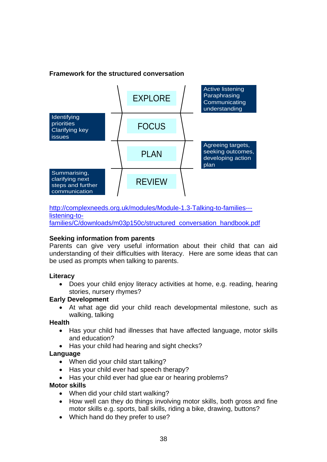### **Framework for the structured conversation**



[http://complexneeds.org.uk/modules/Module-1.3-Talking-to-families--](http://complexneeds.org.uk/modules/Module-1.3-Talking-to-families---listening-to-families/C/downloads/m03p150c/structured_conversation_handbook.pdf) [listening-to](http://complexneeds.org.uk/modules/Module-1.3-Talking-to-families---listening-to-families/C/downloads/m03p150c/structured_conversation_handbook.pdf)[families/C/downloads/m03p150c/structured\\_conversation\\_handbook.pdf](http://complexneeds.org.uk/modules/Module-1.3-Talking-to-families---listening-to-families/C/downloads/m03p150c/structured_conversation_handbook.pdf)

### **Seeking information from parents**

Parents can give very useful information about their child that can aid understanding of their difficulties with literacy. Here are some ideas that can be used as prompts when talking to parents.

### **Literacy**

• Does your child enjoy literacy activities at home, e.g. reading, hearing stories, nursery rhymes?

### **Early Development**

At what age did your child reach developmental milestone, such as walking, talking

### **Health**

- Has your child had illnesses that have affected language, motor skills and education?
- Has your child had hearing and sight checks?

### **Language**

- When did your child start talking?
- Has your child ever had speech therapy?
- Has your child ever had glue ear or hearing problems?

### **Motor skills**

- When did your child start walking?
- How well can they do things involving motor skills, both gross and fine motor skills e.g. sports, ball skills, riding a bike, drawing, buttons?
- Which hand do they prefer to use?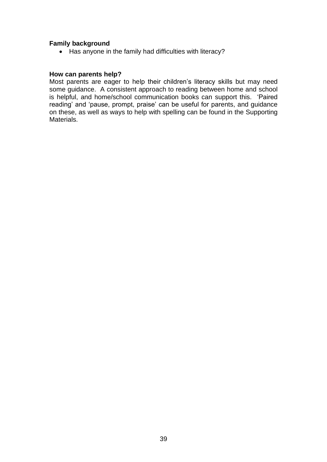### **Family background**

• Has anyone in the family had difficulties with literacy?

### **How can parents help?**

Most parents are eager to help their children's literacy skills but may need some guidance. A consistent approach to reading between home and school is helpful, and home/school communication books can support this. 'Paired reading' and 'pause, prompt, praise' can be useful for parents, and guidance on these, as well as ways to help with spelling can be found in the Supporting Materials.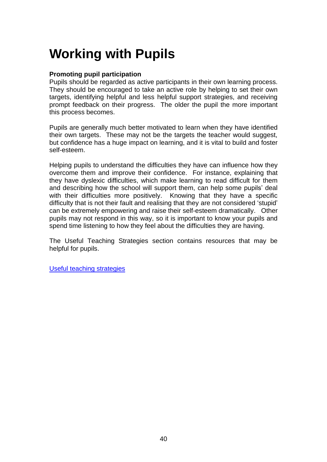# <span id="page-40-0"></span>**Working with Pupils**

### **Promoting pupil participation**

Pupils should be regarded as active participants in their own learning process. They should be encouraged to take an active role by helping to set their own targets, identifying helpful and less helpful support strategies, and receiving prompt feedback on their progress. The older the pupil the more important this process becomes.

Pupils are generally much better motivated to learn when they have identified their own targets. These may not be the targets the teacher would suggest, but confidence has a huge impact on learning, and it is vital to build and foster self-esteem.

Helping pupils to understand the difficulties they have can influence how they overcome them and improve their confidence. For instance, explaining that they have dyslexic difficulties, which make learning to read difficult for them and describing how the school will support them, can help some pupils' deal with their difficulties more positively. Knowing that they have a specific difficulty that is not their fault and realising that they are not considered 'stupid' can be extremely empowering and raise their self-esteem dramatically. Other pupils may not respond in this way, so it is important to know your pupils and spend time listening to how they feel about the difficulties they are having.

The Useful Teaching Strategies section contains resources that may be helpful for pupils.

[Useful teaching strategies](https://drive.google.com/file/d/1I0d7aXJWHaTCf5IixyTLY8-fjcXW6XJf/view?usp=sharing)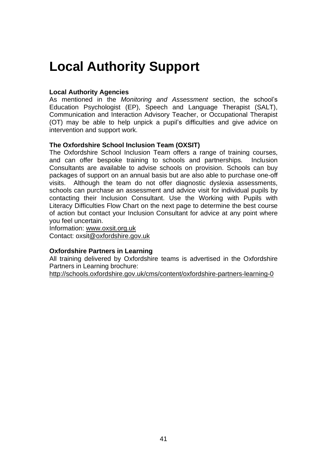# <span id="page-41-0"></span>**Local Authority Support**

### **Local Authority Agencies**

As mentioned in the *Monitoring and Assessment* section, the school's Education Psychologist (EP), Speech and Language Therapist (SALT), Communication and Interaction Advisory Teacher, or Occupational Therapist (OT) may be able to help unpick a pupil's difficulties and give advice on intervention and support work.

### **The Oxfordshire School Inclusion Team (OXSIT)**

The Oxfordshire School Inclusion Team offers a range of training courses, and can offer bespoke training to schools and partnerships. Inclusion Consultants are available to advise schools on provision. Schools can buy packages of support on an annual basis but are also able to purchase one-off visits. Although the team do not offer diagnostic dyslexia assessments, schools can purchase an assessment and advice visit for individual pupils by contacting their Inclusion Consultant. Use the Working with Pupils with Literacy Difficulties Flow Chart on the next page to determine the best course of action but contact your Inclusion Consultant for advice at any point where you feel uncertain.

Information: [www.oxsit.org.uk](http://www.oxsit.org.uk/)

Contact: [oxsit@oxfordshire.gov.uk](mailto:vulnerable.learners@oxfordshire.gov.uk)

### **Oxfordshire Partners in Learning**

All training delivered by Oxfordshire teams is advertised in the Oxfordshire Partners in Learning brochure:

<http://schools.oxfordshire.gov.uk/cms/content/oxfordshire-partners-learning-0>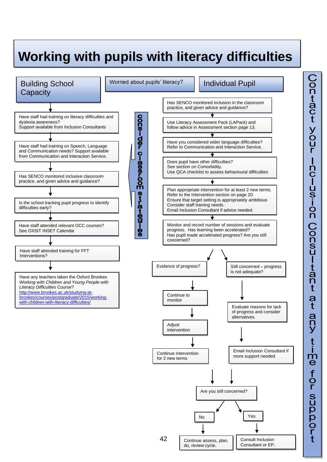

# Contact your Inclusion Consultant  $\frac{a}{t}$ any time for suppor

Continue assess, plan, do, review cycle.

Consult Inclusion Consultant or EP.